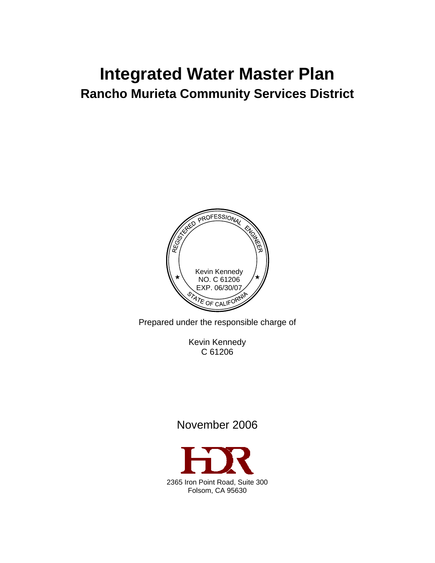# **Integrated Water Master Plan Rancho Murieta Community Services District**



Prepared under the responsible charge of

Kevin Kennedy C 61206

# November 2006

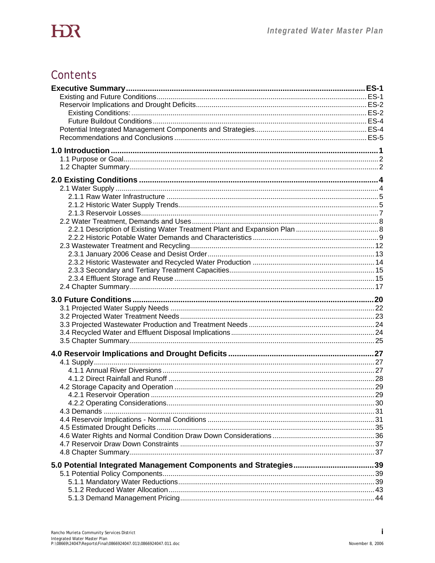# Contents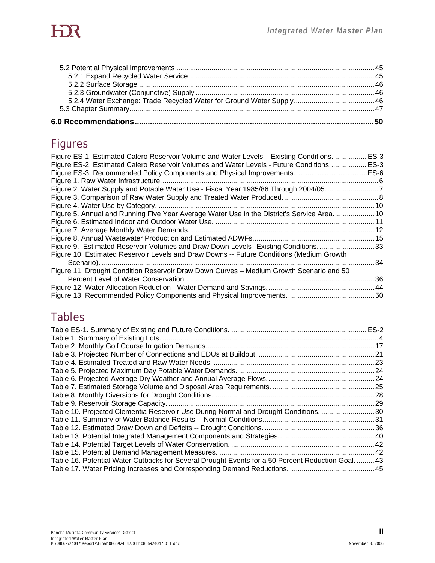# Figures

| Figure ES-1. Estimated Calero Reservoir Volume and Water Levels - Existing Conditions.<br>Figure ES-2. Estimated Calero Reservoir Volumes and Water Levels - Future Conditions ES-3 | . ES-3 |
|-------------------------------------------------------------------------------------------------------------------------------------------------------------------------------------|--------|
| Figure ES-3 Recommended Policy Components and Physical Improvements ES-6                                                                                                            |        |
|                                                                                                                                                                                     |        |
| Figure 2. Water Supply and Potable Water Use - Fiscal Year 1985/86 Through 2004/057                                                                                                 |        |
|                                                                                                                                                                                     |        |
|                                                                                                                                                                                     |        |
| Figure 5. Annual and Running Five Year Average Water Use in the District's Service Area 10                                                                                          |        |
|                                                                                                                                                                                     |        |
|                                                                                                                                                                                     |        |
|                                                                                                                                                                                     |        |
| Figure 9. Estimated Reservoir Volumes and Draw Down Levels--Existing Conditions33                                                                                                   |        |
| Figure 10. Estimated Reservoir Levels and Draw Downs -- Future Conditions (Medium Growth                                                                                            |        |
|                                                                                                                                                                                     |        |
| Figure 11. Drought Condition Reservoir Draw Down Curves - Medium Growth Scenario and 50                                                                                             |        |
|                                                                                                                                                                                     |        |
|                                                                                                                                                                                     |        |
|                                                                                                                                                                                     |        |

# Tables

| Table 10. Projected Clementia Reservoir Use During Normal and Drought Conditions. 30               |  |
|----------------------------------------------------------------------------------------------------|--|
|                                                                                                    |  |
|                                                                                                    |  |
|                                                                                                    |  |
|                                                                                                    |  |
|                                                                                                    |  |
| Table 16. Potential Water Cutbacks for Several Drought Events for a 50 Percent Reduction Goal.  43 |  |
|                                                                                                    |  |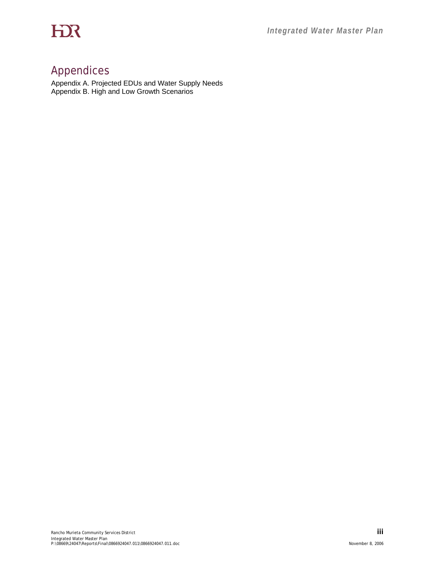# Appendices

Appendix A. Projected EDUs and Water Supply Needs Appendix B. High and Low Growth Scenarios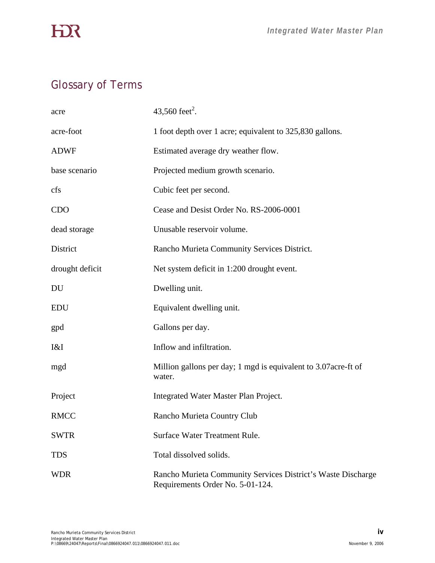# **HIR**

# Glossary of Terms

| acre            | 43,560 feet <sup>2</sup> .                                                                       |
|-----------------|--------------------------------------------------------------------------------------------------|
| acre-foot       | 1 foot depth over 1 acre; equivalent to 325,830 gallons.                                         |
| <b>ADWF</b>     | Estimated average dry weather flow.                                                              |
| base scenario   | Projected medium growth scenario.                                                                |
| cfs             | Cubic feet per second.                                                                           |
| <b>CDO</b>      | Cease and Desist Order No. RS-2006-0001                                                          |
| dead storage    | Unusable reservoir volume.                                                                       |
| District        | Rancho Murieta Community Services District.                                                      |
| drought deficit | Net system deficit in 1:200 drought event.                                                       |
| DU              | Dwelling unit.                                                                                   |
| <b>EDU</b>      | Equivalent dwelling unit.                                                                        |
| gpd             | Gallons per day.                                                                                 |
| I&I             | Inflow and infiltration.                                                                         |
| mgd             | Million gallons per day; 1 mgd is equivalent to 3.07 acre-ft of<br>water.                        |
| Project         | Integrated Water Master Plan Project.                                                            |
| <b>RMCC</b>     | Rancho Murieta Country Club                                                                      |
| <b>SWTR</b>     | Surface Water Treatment Rule.                                                                    |
| <b>TDS</b>      | Total dissolved solids.                                                                          |
| <b>WDR</b>      | Rancho Murieta Community Services District's Waste Discharge<br>Requirements Order No. 5-01-124. |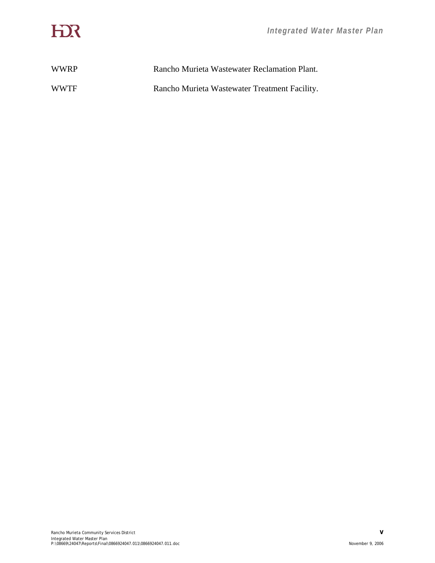| <b>WWRP</b> | Rancho Murieta Wastewater Reclamation Plant.  |
|-------------|-----------------------------------------------|
| <b>WWTF</b> | Rancho Murieta Wastewater Treatment Facility. |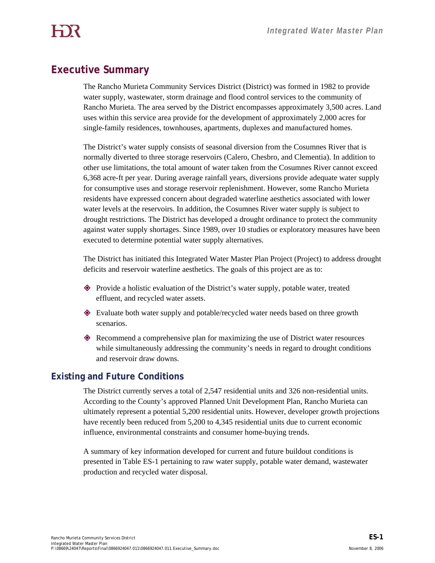# **Executive Summary**

The Rancho Murieta Community Services District (District) was formed in 1982 to provide water supply, wastewater, storm drainage and flood control services to the community of Rancho Murieta. The area served by the District encompasses approximately 3,500 acres. Land uses within this service area provide for the development of approximately 2,000 acres for single-family residences, townhouses, apartments, duplexes and manufactured homes.

The District's water supply consists of seasonal diversion from the Cosumnes River that is normally diverted to three storage reservoirs (Calero, Chesbro, and Clementia). In addition to other use limitations, the total amount of water taken from the Cosumnes River cannot exceed 6,368 acre-ft per year. During average rainfall years, diversions provide adequate water supply for consumptive uses and storage reservoir replenishment. However, some Rancho Murieta residents have expressed concern about degraded waterline aesthetics associated with lower water levels at the reservoirs. In addition, the Cosumnes River water supply is subject to drought restrictions. The District has developed a drought ordinance to protect the community against water supply shortages. Since 1989, over 10 studies or exploratory measures have been executed to determine potential water supply alternatives.

The District has initiated this Integrated Water Master Plan Project (Project) to address drought deficits and reservoir waterline aesthetics. The goals of this project are as to:

- Provide a holistic evaluation of the District's water supply, potable water, treated effluent, and recycled water assets.
- Evaluate both water supply and potable/recycled water needs based on three growth scenarios.
- Recommend a comprehensive plan for maximizing the use of District water resources while simultaneously addressing the community's needs in regard to drought conditions and reservoir draw downs.

# **Existing and Future Conditions**

The District currently serves a total of 2,547 residential units and 326 non-residential units. According to the County's approved Planned Unit Development Plan, Rancho Murieta can ultimately represent a potential 5,200 residential units. However, developer growth projections have recently been reduced from 5,200 to 4,345 residential units due to current economic influence, environmental constraints and consumer home-buying trends.

A summary of key information developed for current and future buildout conditions is presented in Table ES-1 pertaining to raw water supply, potable water demand, wastewater production and recycled water disposal.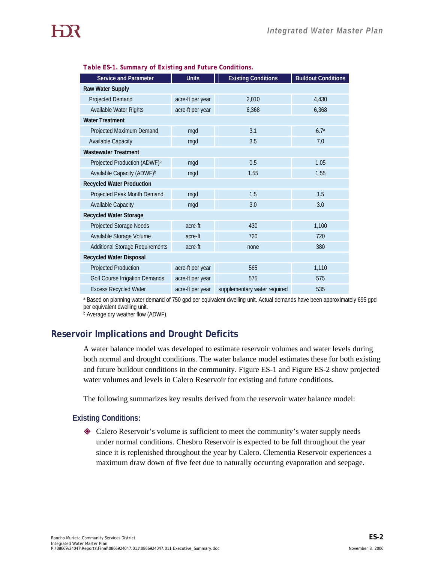| Service and Parameter                    | <b>Units</b>     | <b>Existing Conditions</b>   | <b>Buildout Conditions</b> |  |  |
|------------------------------------------|------------------|------------------------------|----------------------------|--|--|
| Raw Water Supply                         |                  |                              |                            |  |  |
| Projected Demand                         | acre-ft per year | 2,010                        | 4,430                      |  |  |
| Available Water Rights                   | acre-ft per year | 6,368                        | 6,368                      |  |  |
| <b>Water Treatment</b>                   |                  |                              |                            |  |  |
| Projected Maximum Demand                 | mgd              | 3.1                          | 6.7 <sup>a</sup>           |  |  |
| Available Capacity                       | mgd              | 3.5                          | 7.0                        |  |  |
| <b>Wastewater Treatment</b>              |                  |                              |                            |  |  |
| Projected Production (ADWF) <sup>b</sup> | mgd              | 0.5                          | 1.05                       |  |  |
| Available Capacity (ADWF) <sup>b</sup>   | mgd              | 1.55                         | 1.55                       |  |  |
| <b>Recycled Water Production</b>         |                  |                              |                            |  |  |
| Projected Peak Month Demand              | mgd              | 1.5                          | 1.5                        |  |  |
| <b>Available Capacity</b>                | mgd              | 3.0                          | 3.0                        |  |  |
| <b>Recycled Water Storage</b>            |                  |                              |                            |  |  |
| Projected Storage Needs                  | acre-ft          | 430                          | 1,100                      |  |  |
| Available Storage Volume<br>acre-ft      |                  | 720                          | 720                        |  |  |
| <b>Additional Storage Requirements</b>   | acre-ft          | none                         | 380                        |  |  |
| <b>Recycled Water Disposal</b>           |                  |                              |                            |  |  |
| Projected Production                     | acre-ft per year | 565                          | 1,110                      |  |  |
| <b>Golf Course Irrigation Demands</b>    | acre-ft per year | 575                          | 575                        |  |  |
| <b>Excess Recycled Water</b>             | acre-ft per year | supplementary water required | 535                        |  |  |

#### *Table ES-1. Summary of Existing and Future Conditions.*

a Based on planning water demand of 750 gpd per equivalent dwelling unit. Actual demands have been approximately 695 gpd per equivalent dwelling unit.

**b** Average dry weather flow (ADWF).

# **Reservoir Implications and Drought Deficits**

A water balance model was developed to estimate reservoir volumes and water levels during both normal and drought conditions. The water balance model estimates these for both existing and future buildout conditions in the community. Figure ES-1 and Figure ES-2 show projected water volumes and levels in Calero Reservoir for existing and future conditions.

The following summarizes key results derived from the reservoir water balance model:

### **Existing Conditions:**

 Calero Reservoir's volume is sufficient to meet the community's water supply needs under normal conditions. Chesbro Reservoir is expected to be full throughout the year since it is replenished throughout the year by Calero. Clementia Reservoir experiences a maximum draw down of five feet due to naturally occurring evaporation and seepage.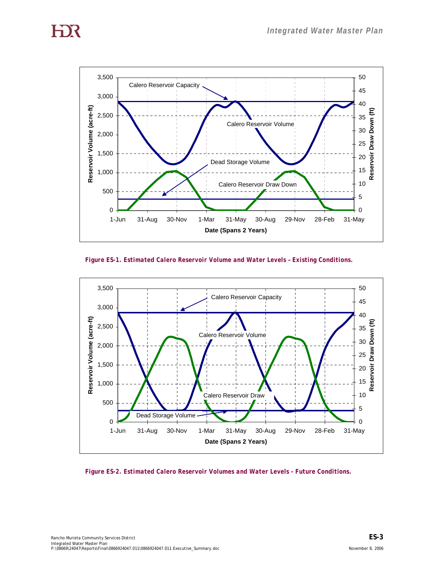



*Figure ES-1. Estimated Calero Reservoir Volume and Water Levels – Existing Conditions.* 



*Figure ES-2. Estimated Calero Reservoir Volumes and Water Levels - Future Conditions.*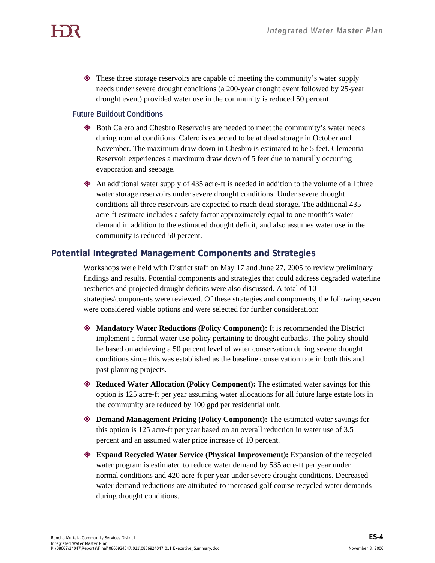These three storage reservoirs are capable of meeting the community's water supply needs under severe drought conditions (a 200-year drought event followed by 25-year drought event) provided water use in the community is reduced 50 percent.

## **Future Buildout Conditions**

- Both Calero and Chesbro Reservoirs are needed to meet the community's water needs during normal conditions. Calero is expected to be at dead storage in October and November. The maximum draw down in Chesbro is estimated to be 5 feet. Clementia Reservoir experiences a maximum draw down of 5 feet due to naturally occurring evaporation and seepage.
- An additional water supply of 435 acre-ft is needed in addition to the volume of all three water storage reservoirs under severe drought conditions. Under severe drought conditions all three reservoirs are expected to reach dead storage. The additional 435 acre-ft estimate includes a safety factor approximately equal to one month's water demand in addition to the estimated drought deficit, and also assumes water use in the community is reduced 50 percent.

# **Potential Integrated Management Components and Strategies**

Workshops were held with District staff on May 17 and June 27, 2005 to review preliminary findings and results. Potential components and strategies that could address degraded waterline aesthetics and projected drought deficits were also discussed. A total of 10 strategies/components were reviewed. Of these strategies and components, the following seven were considered viable options and were selected for further consideration:

- **Mandatory Water Reductions (Policy Component):** It is recommended the District implement a formal water use policy pertaining to drought cutbacks. The policy should be based on achieving a 50 percent level of water conservation during severe drought conditions since this was established as the baseline conservation rate in both this and past planning projects.
- **Reduced Water Allocation (Policy Component):** The estimated water savings for this option is 125 acre-ft per year assuming water allocations for all future large estate lots in the community are reduced by 100 gpd per residential unit.
- **Demand Management Pricing (Policy Component):** The estimated water savings for this option is 125 acre-ft per year based on an overall reduction in water use of 3.5 percent and an assumed water price increase of 10 percent.
- **Expand Recycled Water Service (Physical Improvement):** Expansion of the recycled water program is estimated to reduce water demand by 535 acre-ft per year under normal conditions and 420 acre-ft per year under severe drought conditions. Decreased water demand reductions are attributed to increased golf course recycled water demands during drought conditions.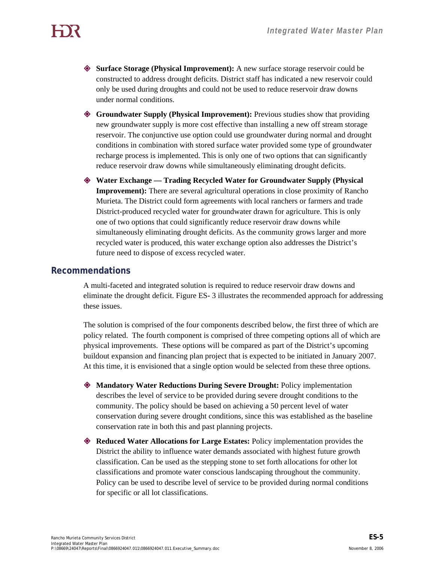**Surface Storage (Physical Improvement):** A new surface storage reservoir could be constructed to address drought deficits. District staff has indicated a new reservoir could only be used during droughts and could not be used to reduce reservoir draw downs under normal conditions.

- **Groundwater Supply (Physical Improvement):** Previous studies show that providing new groundwater supply is more cost effective than installing a new off stream storage reservoir. The conjunctive use option could use groundwater during normal and drought conditions in combination with stored surface water provided some type of groundwater recharge process is implemented. This is only one of two options that can significantly reduce reservoir draw downs while simultaneously eliminating drought deficits.
- **Water Exchange Trading Recycled Water for Groundwater Supply (Physical Improvement):** There are several agricultural operations in close proximity of Rancho Murieta. The District could form agreements with local ranchers or farmers and trade District-produced recycled water for groundwater drawn for agriculture. This is only one of two options that could significantly reduce reservoir draw downs while simultaneously eliminating drought deficits. As the community grows larger and more recycled water is produced, this water exchange option also addresses the District's future need to dispose of excess recycled water.

## **Recommendations**

A multi-faceted and integrated solution is required to reduce reservoir draw downs and eliminate the drought deficit. Figure ES- 3 illustrates the recommended approach for addressing these issues.

The solution is comprised of the four components described below, the first three of which are policy related. The fourth component is comprised of three competing options all of which are physical improvements. These options will be compared as part of the District's upcoming buildout expansion and financing plan project that is expected to be initiated in January 2007. At this time, it is envisioned that a single option would be selected from these three options.

- **Mandatory Water Reductions During Severe Drought:** Policy implementation describes the level of service to be provided during severe drought conditions to the community. The policy should be based on achieving a 50 percent level of water conservation during severe drought conditions, since this was established as the baseline conservation rate in both this and past planning projects.
- **Reduced Water Allocations for Large Estates:** Policy implementation provides the District the ability to influence water demands associated with highest future growth classification. Can be used as the stepping stone to set forth allocations for other lot classifications and promote water conscious landscaping throughout the community. Policy can be used to describe level of service to be provided during normal conditions for specific or all lot classifications.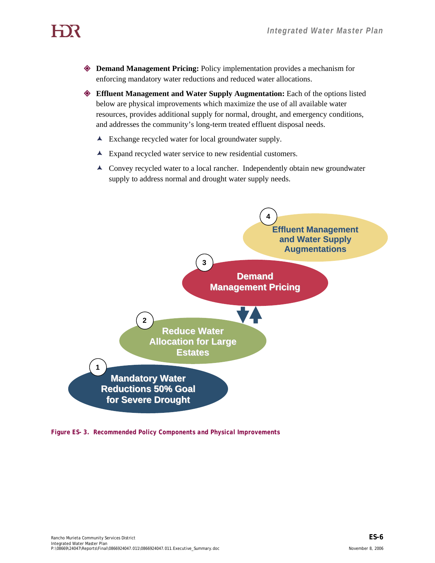**Demand Management Pricing:** Policy implementation provides a mechanism for enforcing mandatory water reductions and reduced water allocations.

 **Effluent Management and Water Supply Augmentation:** Each of the options listed below are physical improvements which maximize the use of all available water resources, provides additional supply for normal, drought, and emergency conditions, and addresses the community's long-term treated effluent disposal needs.

- $\blacktriangle$  Exchange recycled water for local groundwater supply.
- $\blacktriangle$  Expand recycled water service to new residential customers.
- È Convey recycled water to a local rancher. Independently obtain new groundwater supply to address normal and drought water supply needs.



*Figure ES- 3. Recommended Policy Components and Physical Improvements*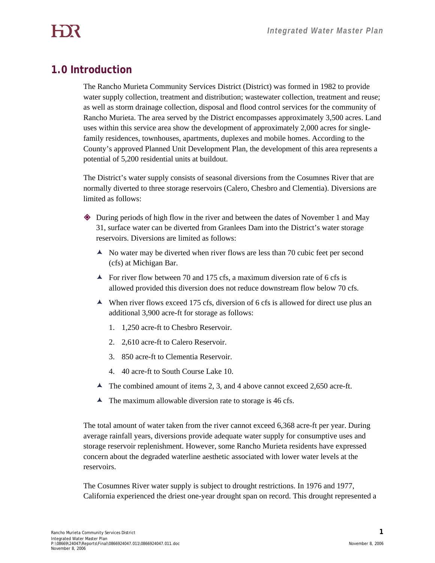# **1.0 Introduction**

The Rancho Murieta Community Services District (District) was formed in 1982 to provide water supply collection, treatment and distribution; wastewater collection, treatment and reuse; as well as storm drainage collection, disposal and flood control services for the community of Rancho Murieta. The area served by the District encompasses approximately 3,500 acres. Land uses within this service area show the development of approximately 2,000 acres for singlefamily residences, townhouses, apartments, duplexes and mobile homes. According to the County's approved Planned Unit Development Plan, the development of this area represents a potential of 5,200 residential units at buildout.

The District's water supply consists of seasonal diversions from the Cosumnes River that are normally diverted to three storage reservoirs (Calero, Chesbro and Clementia). Diversions are limited as follows:

- During periods of high flow in the river and between the dates of November 1 and May 31, surface water can be diverted from Granlees Dam into the District's water storage reservoirs. Diversions are limited as follows:
	- $\blacktriangle$  No water may be diverted when river flows are less than 70 cubic feet per second (cfs) at Michigan Bar.
	- $\blacktriangle$  For river flow between 70 and 175 cfs, a maximum diversion rate of 6 cfs is allowed provided this diversion does not reduce downstream flow below 70 cfs.
	- $\blacktriangle$  When river flows exceed 175 cfs, diversion of 6 cfs is allowed for direct use plus an additional 3,900 acre-ft for storage as follows:
		- 1. 1,250 acre-ft to Chesbro Reservoir.
		- 2. 2,610 acre-ft to Calero Reservoir.
		- 3. 850 acre-ft to Clementia Reservoir.
		- 4. 40 acre-ft to South Course Lake 10.
	- $\blacktriangle$  The combined amount of items 2, 3, and 4 above cannot exceed 2,650 acre-ft.
	- $\blacktriangle$  The maximum allowable diversion rate to storage is 46 cfs.

The total amount of water taken from the river cannot exceed 6,368 acre-ft per year. During average rainfall years, diversions provide adequate water supply for consumptive uses and storage reservoir replenishment. However, some Rancho Murieta residents have expressed concern about the degraded waterline aesthetic associated with lower water levels at the reservoirs.

The Cosumnes River water supply is subject to drought restrictions. In 1976 and 1977, California experienced the driest one-year drought span on record. This drought represented a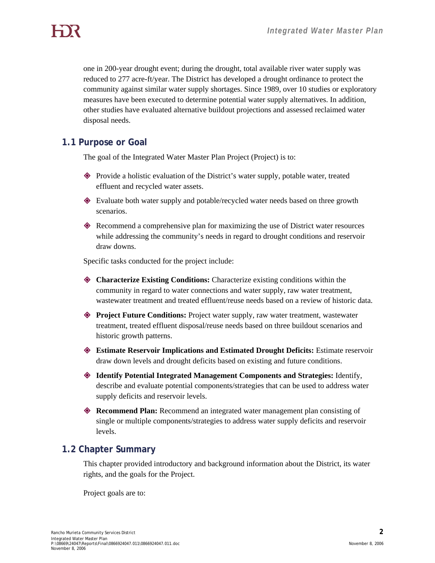one in 200-year drought event; during the drought, total available river water supply was reduced to 277 acre-ft/year. The District has developed a drought ordinance to protect the community against similar water supply shortages. Since 1989, over 10 studies or exploratory measures have been executed to determine potential water supply alternatives. In addition, other studies have evaluated alternative buildout projections and assessed reclaimed water disposal needs.

## **1.1 Purpose or Goal**

The goal of the Integrated Water Master Plan Project (Project) is to:

- Provide a holistic evaluation of the District's water supply, potable water, treated effluent and recycled water assets.
- Evaluate both water supply and potable/recycled water needs based on three growth scenarios.
- Recommend a comprehensive plan for maximizing the use of District water resources while addressing the community's needs in regard to drought conditions and reservoir draw downs.

Specific tasks conducted for the project include:

- **Characterize Existing Conditions:** Characterize existing conditions within the community in regard to water connections and water supply, raw water treatment, wastewater treatment and treated effluent/reuse needs based on a review of historic data.
- **Project Future Conditions:** Project water supply, raw water treatment, wastewater treatment, treated effluent disposal/reuse needs based on three buildout scenarios and historic growth patterns.
- **Estimate Reservoir Implications and Estimated Drought Deficits:** Estimate reservoir draw down levels and drought deficits based on existing and future conditions.
- **Identify Potential Integrated Management Components and Strategies:** Identify, describe and evaluate potential components/strategies that can be used to address water supply deficits and reservoir levels.
- **Recommend Plan:** Recommend an integrated water management plan consisting of single or multiple components/strategies to address water supply deficits and reservoir levels.

# **1.2 Chapter Summary**

This chapter provided introductory and background information about the District, its water rights, and the goals for the Project.

Project goals are to: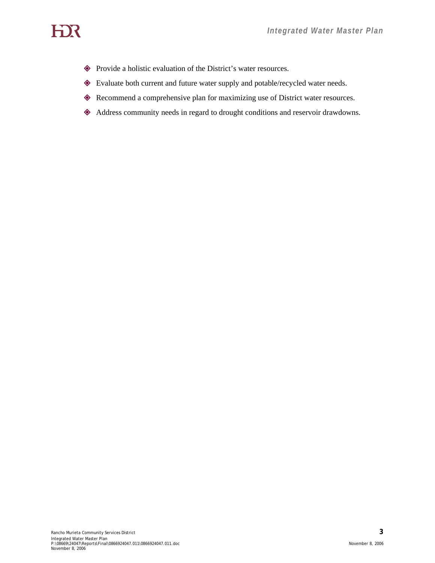# HOR

- Provide a holistic evaluation of the District's water resources.
- Evaluate both current and future water supply and potable/recycled water needs.
- Recommend a comprehensive plan for maximizing use of District water resources.
- Address community needs in regard to drought conditions and reservoir drawdowns.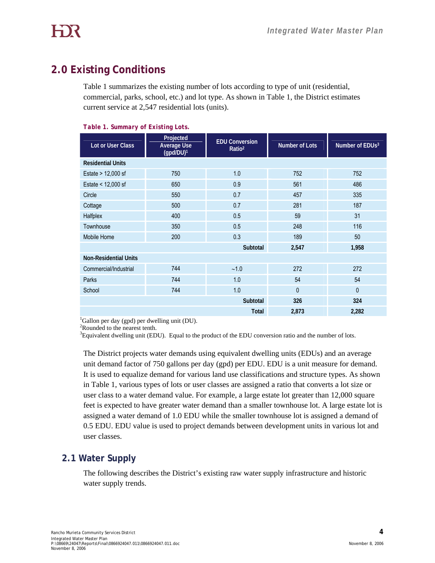# **2.0 Existing Conditions**

Table 1 summarizes the existing number of lots according to type of unit (residential, commercial, parks, school, etc.) and lot type. As shown in Table 1, the District estimates current service at 2,547 residential lots (units).

| Number of EDUs <sup>3</sup>                   |  |  |  |  |  |
|-----------------------------------------------|--|--|--|--|--|
|                                               |  |  |  |  |  |
|                                               |  |  |  |  |  |
|                                               |  |  |  |  |  |
|                                               |  |  |  |  |  |
|                                               |  |  |  |  |  |
|                                               |  |  |  |  |  |
|                                               |  |  |  |  |  |
|                                               |  |  |  |  |  |
|                                               |  |  |  |  |  |
| 1,958                                         |  |  |  |  |  |
| <b>Non-Residential Units</b>                  |  |  |  |  |  |
|                                               |  |  |  |  |  |
|                                               |  |  |  |  |  |
|                                               |  |  |  |  |  |
|                                               |  |  |  |  |  |
| 2,282                                         |  |  |  |  |  |
| 752<br>486<br>335<br>187<br>116<br>272<br>324 |  |  |  |  |  |

*Table 1. Summary of Existing Lots.* 

1 Gallon per day (gpd) per dwelling unit (DU).

 <sup>2</sup> Rounded to the nearest tenth.

 <sup>3</sup>  ${}^{3}$ Equivalent dwelling unit (EDU). Equal to the product of the EDU conversion ratio and the number of lots.

> The District projects water demands using equivalent dwelling units (EDUs) and an average unit demand factor of 750 gallons per day (gpd) per EDU. EDU is a unit measure for demand. It is used to equalize demand for various land use classifications and structure types. As shown in Table 1, various types of lots or user classes are assigned a ratio that converts a lot size or user class to a water demand value. For example, a large estate lot greater than 12,000 square feet is expected to have greater water demand than a smaller townhouse lot. A large estate lot is assigned a water demand of 1.0 EDU while the smaller townhouse lot is assigned a demand of 0.5 EDU. EDU value is used to project demands between development units in various lot and user classes.

# **2.1 Water Supply**

The following describes the District's existing raw water supply infrastructure and historic water supply trends.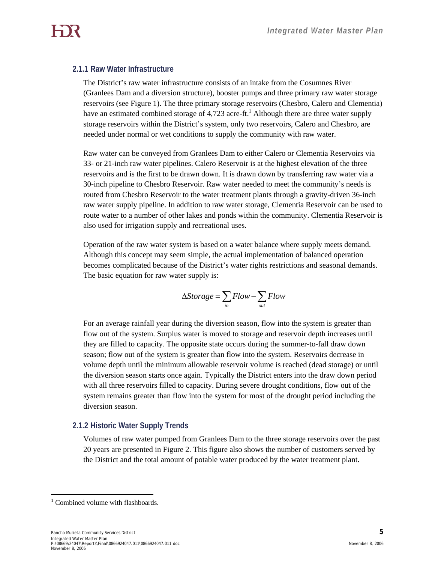### **2.1.1 Raw Water Infrastructure**

The District's raw water infrastructure consists of an intake from the Cosumnes River (Granlees Dam and a diversion structure), booster pumps and three primary raw water storage reservoirs (see Figure 1). The three primary storage reservoirs (Chesbro, Calero and Clementia) have an estimated combined storage of 4,723 acre-ft.<sup>1</sup> Although there are three water supply storage reservoirs within the District's system, only two reservoirs, Calero and Chesbro, are needed under normal or wet conditions to supply the community with raw water.

Raw water can be conveyed from Granlees Dam to either Calero or Clementia Reservoirs via 33- or 21-inch raw water pipelines. Calero Reservoir is at the highest elevation of the three reservoirs and is the first to be drawn down. It is drawn down by transferring raw water via a 30-inch pipeline to Chesbro Reservoir. Raw water needed to meet the community's needs is routed from Chesbro Reservoir to the water treatment plants through a gravity-driven 36-inch raw water supply pipeline. In addition to raw water storage, Clementia Reservoir can be used to route water to a number of other lakes and ponds within the community. Clementia Reservoir is also used for irrigation supply and recreational uses.

Operation of the raw water system is based on a water balance where supply meets demand. Although this concept may seem simple, the actual implementation of balanced operation becomes complicated because of the District's water rights restrictions and seasonal demands. The basic equation for raw water supply is:

$$
\Delta Storage = \sum_{in} Flow - \sum_{out} Flow
$$

For an average rainfall year during the diversion season, flow into the system is greater than flow out of the system. Surplus water is moved to storage and reservoir depth increases until they are filled to capacity. The opposite state occurs during the summer-to-fall draw down season; flow out of the system is greater than flow into the system. Reservoirs decrease in volume depth until the minimum allowable reservoir volume is reached (dead storage) or until the diversion season starts once again. Typically the District enters into the draw down period with all three reservoirs filled to capacity. During severe drought conditions, flow out of the system remains greater than flow into the system for most of the drought period including the diversion season.

### **2.1.2 Historic Water Supply Trends**

Volumes of raw water pumped from Granlees Dam to the three storage reservoirs over the past 20 years are presented in Figure 2. This figure also shows the number of customers served by the District and the total amount of potable water produced by the water treatment plant.

 $\overline{a}$ <sup>1</sup> Combined volume with flashboards.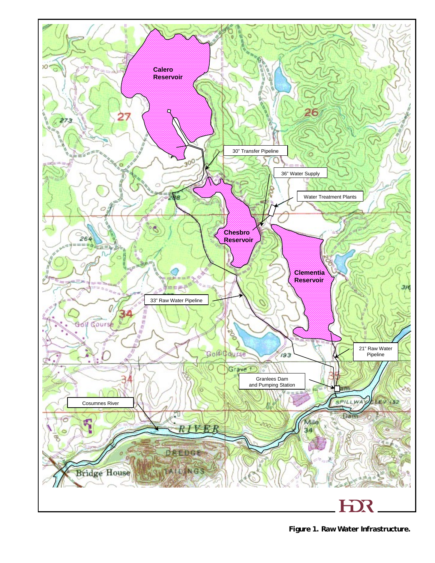

*Figure 1. Raw Water Infrastructure.*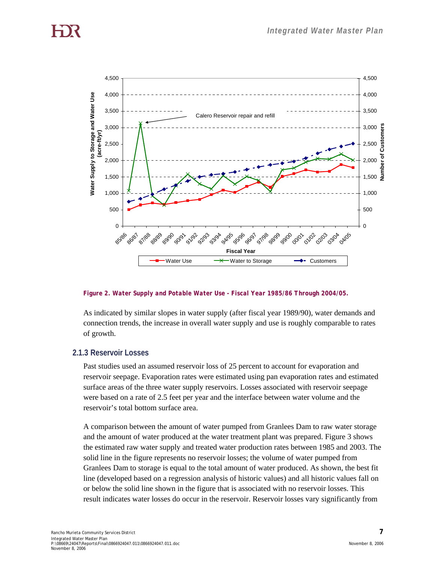

#### *Figure 2. Water Supply and Potable Water Use - Fiscal Year 1985/86 Through 2004/05.*

As indicated by similar slopes in water supply (after fiscal year 1989/90), water demands and connection trends, the increase in overall water supply and use is roughly comparable to rates of growth.

#### **2.1.3 Reservoir Losses**

Past studies used an assumed reservoir loss of 25 percent to account for evaporation and reservoir seepage. Evaporation rates were estimated using pan evaporation rates and estimated surface areas of the three water supply reservoirs. Losses associated with reservoir seepage were based on a rate of 2.5 feet per year and the interface between water volume and the reservoir's total bottom surface area.

A comparison between the amount of water pumped from Granlees Dam to raw water storage and the amount of water produced at the water treatment plant was prepared. Figure 3 shows the estimated raw water supply and treated water production rates between 1985 and 2003. The solid line in the figure represents no reservoir losses; the volume of water pumped from Granlees Dam to storage is equal to the total amount of water produced. As shown, the best fit line (developed based on a regression analysis of historic values) and all historic values fall on or below the solid line shown in the figure that is associated with no reservoir losses. This result indicates water losses do occur in the reservoir. Reservoir losses vary significantly from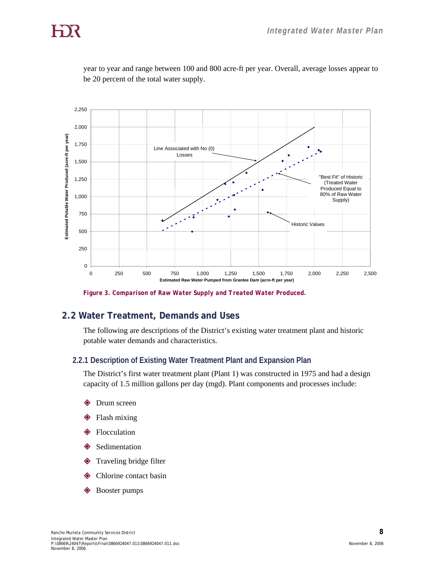

year to year and range between 100 and 800 acre-ft per year. Overall, average losses appear to be 20 percent of the total water supply.

*Figure 3. Comparison of Raw Water Supply and Treated Water Produced.* 

# **2.2 Water Treatment, Demands and Uses**

The following are descriptions of the District's existing water treatment plant and historic potable water demands and characteristics.

#### **2.2.1 Description of Existing Water Treatment Plant and Expansion Plan**

The District's first water treatment plant (Plant 1) was constructed in 1975 and had a design capacity of 1.5 million gallons per day (mgd). Plant components and processes include:

- Drum screen
- Flash mixing
- Flocculation
- Sedimentation
- Traveling bridge filter
- Chlorine contact basin
- Booster pumps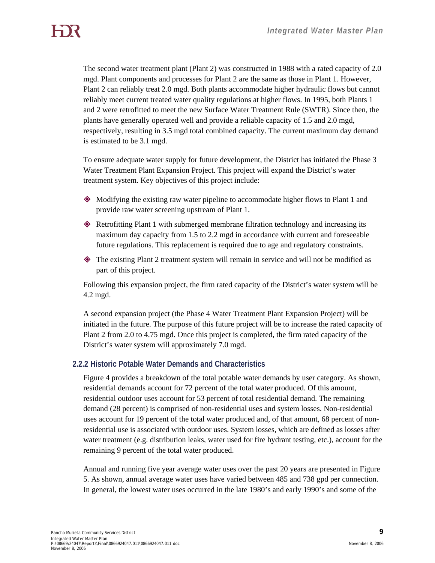The second water treatment plant (Plant 2) was constructed in 1988 with a rated capacity of 2.0 mgd. Plant components and processes for Plant 2 are the same as those in Plant 1. However, Plant 2 can reliably treat 2.0 mgd. Both plants accommodate higher hydraulic flows but cannot reliably meet current treated water quality regulations at higher flows. In 1995, both Plants 1 and 2 were retrofitted to meet the new Surface Water Treatment Rule (SWTR). Since then, the plants have generally operated well and provide a reliable capacity of 1.5 and 2.0 mgd, respectively, resulting in 3.5 mgd total combined capacity. The current maximum day demand is estimated to be 3.1 mgd.

To ensure adequate water supply for future development, the District has initiated the Phase 3 Water Treatment Plant Expansion Project. This project will expand the District's water treatment system. Key objectives of this project include:

- Modifying the existing raw water pipeline to accommodate higher flows to Plant 1 and provide raw water screening upstream of Plant 1.
- Retrofitting Plant 1 with submerged membrane filtration technology and increasing its maximum day capacity from 1.5 to 2.2 mgd in accordance with current and foreseeable future regulations. This replacement is required due to age and regulatory constraints.
- The existing Plant 2 treatment system will remain in service and will not be modified as part of this project.

Following this expansion project, the firm rated capacity of the District's water system will be 4.2 mgd.

A second expansion project (the Phase 4 Water Treatment Plant Expansion Project) will be initiated in the future. The purpose of this future project will be to increase the rated capacity of Plant 2 from 2.0 to 4.75 mgd. Once this project is completed, the firm rated capacity of the District's water system will approximately 7.0 mgd.

### **2.2.2 Historic Potable Water Demands and Characteristics**

Figure 4 provides a breakdown of the total potable water demands by user category. As shown, residential demands account for 72 percent of the total water produced. Of this amount, residential outdoor uses account for 53 percent of total residential demand. The remaining demand (28 percent) is comprised of non-residential uses and system losses. Non-residential uses account for 19 percent of the total water produced and, of that amount, 68 percent of nonresidential use is associated with outdoor uses. System losses, which are defined as losses after water treatment (e.g. distribution leaks, water used for fire hydrant testing, etc.), account for the remaining 9 percent of the total water produced.

Annual and running five year average water uses over the past 20 years are presented in Figure 5. As shown, annual average water uses have varied between 485 and 738 gpd per connection. In general, the lowest water uses occurred in the late 1980's and early 1990's and some of the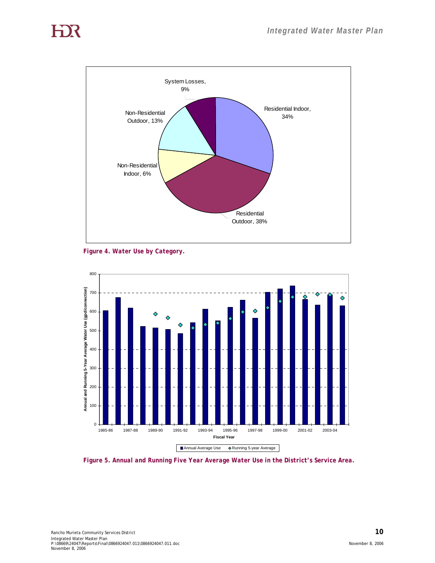

*Figure 4. Water Use by Category.* 



*Figure 5. Annual and Running Five Year Average Water Use in the District's Service Area.*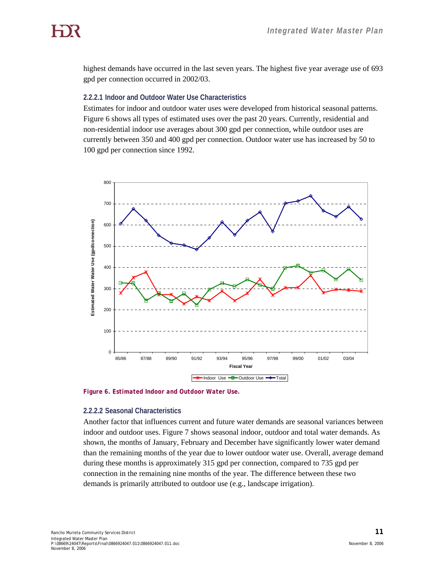highest demands have occurred in the last seven years. The highest five year average use of 693 gpd per connection occurred in 2002/03.

#### **2.2.2.1 Indoor and Outdoor Water Use Characteristics**

Estimates for indoor and outdoor water uses were developed from historical seasonal patterns. Figure 6 shows all types of estimated uses over the past 20 years. Currently, residential and non-residential indoor use averages about 300 gpd per connection, while outdoor uses are currently between 350 and 400 gpd per connection. Outdoor water use has increased by 50 to 100 gpd per connection since 1992.



*Figure 6. Estimated Indoor and Outdoor Water Use.* 

#### **2.2.2.2 Seasonal Characteristics**

Another factor that influences current and future water demands are seasonal variances between indoor and outdoor uses. Figure 7 shows seasonal indoor, outdoor and total water demands. As shown, the months of January, February and December have significantly lower water demand than the remaining months of the year due to lower outdoor water use. Overall, average demand during these months is approximately 315 gpd per connection, compared to 735 gpd per connection in the remaining nine months of the year. The difference between these two demands is primarily attributed to outdoor use (e.g., landscape irrigation).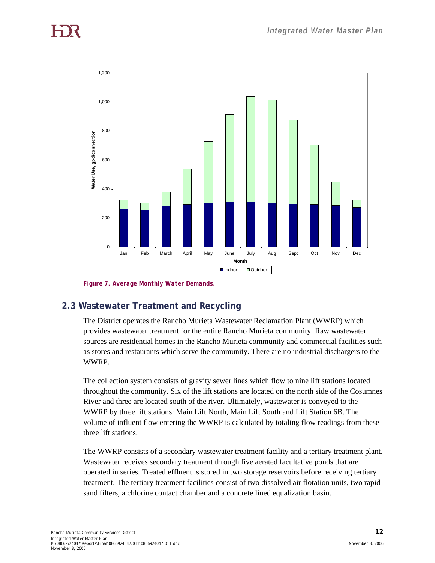

*Figure 7. Average Monthly Water Demands.* 

# **2.3 Wastewater Treatment and Recycling**

The District operates the Rancho Murieta Wastewater Reclamation Plant (WWRP) which provides wastewater treatment for the entire Rancho Murieta community. Raw wastewater sources are residential homes in the Rancho Murieta community and commercial facilities such as stores and restaurants which serve the community. There are no industrial dischargers to the WWRP.

The collection system consists of gravity sewer lines which flow to nine lift stations located throughout the community. Six of the lift stations are located on the north side of the Cosumnes River and three are located south of the river. Ultimately, wastewater is conveyed to the WWRP by three lift stations: Main Lift North, Main Lift South and Lift Station 6B. The volume of influent flow entering the WWRP is calculated by totaling flow readings from these three lift stations.

The WWRP consists of a secondary wastewater treatment facility and a tertiary treatment plant. Wastewater receives secondary treatment through five aerated facultative ponds that are operated in series. Treated effluent is stored in two storage reservoirs before receiving tertiary treatment. The tertiary treatment facilities consist of two dissolved air flotation units, two rapid sand filters, a chlorine contact chamber and a concrete lined equalization basin.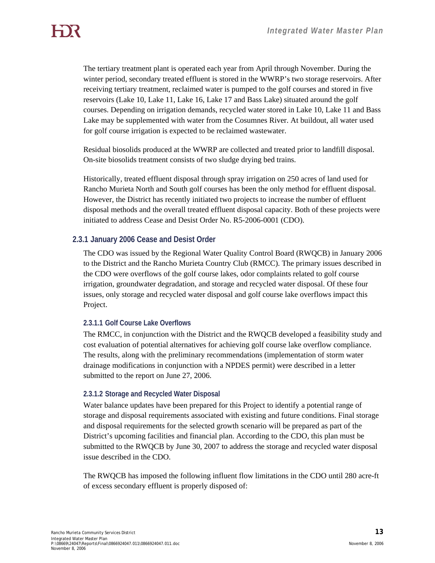The tertiary treatment plant is operated each year from April through November. During the winter period, secondary treated effluent is stored in the WWRP's two storage reservoirs. After receiving tertiary treatment, reclaimed water is pumped to the golf courses and stored in five reservoirs (Lake 10, Lake 11, Lake 16, Lake 17 and Bass Lake) situated around the golf courses. Depending on irrigation demands, recycled water stored in Lake 10, Lake 11 and Bass Lake may be supplemented with water from the Cosumnes River. At buildout, all water used for golf course irrigation is expected to be reclaimed wastewater.

Residual biosolids produced at the WWRP are collected and treated prior to landfill disposal. On-site biosolids treatment consists of two sludge drying bed trains.

Historically, treated effluent disposal through spray irrigation on 250 acres of land used for Rancho Murieta North and South golf courses has been the only method for effluent disposal. However, the District has recently initiated two projects to increase the number of effluent disposal methods and the overall treated effluent disposal capacity. Both of these projects were initiated to address Cease and Desist Order No. R5-2006-0001 (CDO).

#### **2.3.1 January 2006 Cease and Desist Order**

The CDO was issued by the Regional Water Quality Control Board (RWQCB) in January 2006 to the District and the Rancho Murieta Country Club (RMCC). The primary issues described in the CDO were overflows of the golf course lakes, odor complaints related to golf course irrigation, groundwater degradation, and storage and recycled water disposal. Of these four issues, only storage and recycled water disposal and golf course lake overflows impact this Project.

#### **2.3.1.1 Golf Course Lake Overflows**

The RMCC, in conjunction with the District and the RWQCB developed a feasibility study and cost evaluation of potential alternatives for achieving golf course lake overflow compliance. The results, along with the preliminary recommendations (implementation of storm water drainage modifications in conjunction with a NPDES permit) were described in a letter submitted to the report on June 27, 2006.

#### **2.3.1.2 Storage and Recycled Water Disposal**

Water balance updates have been prepared for this Project to identify a potential range of storage and disposal requirements associated with existing and future conditions. Final storage and disposal requirements for the selected growth scenario will be prepared as part of the District's upcoming facilities and financial plan. According to the CDO, this plan must be submitted to the RWQCB by June 30, 2007 to address the storage and recycled water disposal issue described in the CDO.

The RWQCB has imposed the following influent flow limitations in the CDO until 280 acre-ft of excess secondary effluent is properly disposed of: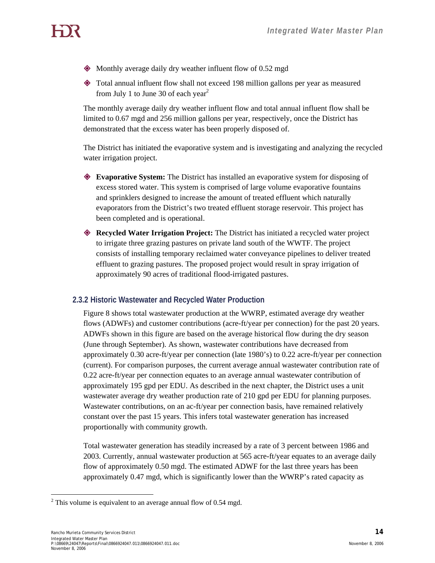- Monthly average daily dry weather influent flow of 0.52 mgd
- Total annual influent flow shall not exceed 198 million gallons per year as measured from July 1 to June 30 of each year<sup>2</sup>

The monthly average daily dry weather influent flow and total annual influent flow shall be limited to 0.67 mgd and 256 million gallons per year, respectively, once the District has demonstrated that the excess water has been properly disposed of.

The District has initiated the evaporative system and is investigating and analyzing the recycled water irrigation project.

- **Evaporative System:** The District has installed an evaporative system for disposing of excess stored water. This system is comprised of large volume evaporative fountains and sprinklers designed to increase the amount of treated effluent which naturally evaporators from the District's two treated effluent storage reservoir. This project has been completed and is operational.
- **Recycled Water Irrigation Project:** The District has initiated a recycled water project to irrigate three grazing pastures on private land south of the WWTF. The project consists of installing temporary reclaimed water conveyance pipelines to deliver treated effluent to grazing pastures. The proposed project would result in spray irrigation of approximately 90 acres of traditional flood-irrigated pastures.

## **2.3.2 Historic Wastewater and Recycled Water Production**

Figure 8 shows total wastewater production at the WWRP, estimated average dry weather flows (ADWFs) and customer contributions (acre-ft/year per connection) for the past 20 years. ADWFs shown in this figure are based on the average historical flow during the dry season (June through September). As shown, wastewater contributions have decreased from approximately 0.30 acre-ft/year per connection (late 1980's) to 0.22 acre-ft/year per connection (current). For comparison purposes, the current average annual wastewater contribution rate of 0.22 acre-ft/year per connection equates to an average annual wastewater contribution of approximately 195 gpd per EDU. As described in the next chapter, the District uses a unit wastewater average dry weather production rate of 210 gpd per EDU for planning purposes. Wastewater contributions, on an ac-ft/year per connection basis, have remained relatively constant over the past 15 years. This infers total wastewater generation has increased proportionally with community growth.

Total wastewater generation has steadily increased by a rate of 3 percent between 1986 and 2003. Currently, annual wastewater production at 565 acre-ft/year equates to an average daily flow of approximately 0.50 mgd. The estimated ADWF for the last three years has been approximately 0.47 mgd, which is significantly lower than the WWRP's rated capacity as

 $\overline{a}$ <sup>2</sup> This volume is equivalent to an average annual flow of 0.54 mgd.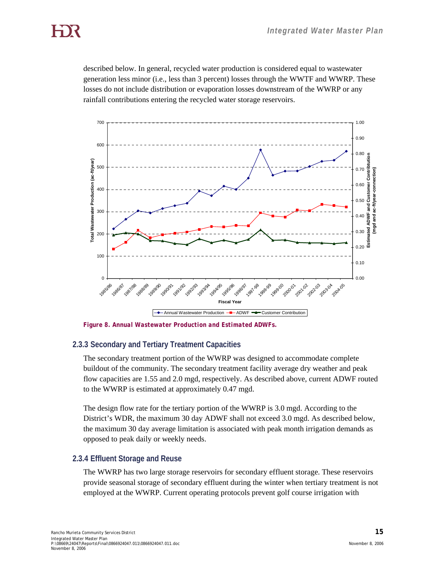described below. In general, recycled water production is considered equal to wastewater generation less minor (i.e., less than 3 percent) losses through the WWTF and WWRP. These losses do not include distribution or evaporation losses downstream of the WWRP or any rainfall contributions entering the recycled water storage reservoirs.



*Figure 8. Annual Wastewater Production and Estimated ADWFs.* 

#### **2.3.3 Secondary and Tertiary Treatment Capacities**

The secondary treatment portion of the WWRP was designed to accommodate complete buildout of the community. The secondary treatment facility average dry weather and peak flow capacities are 1.55 and 2.0 mgd, respectively. As described above, current ADWF routed to the WWRP is estimated at approximately 0.47 mgd.

The design flow rate for the tertiary portion of the WWRP is 3.0 mgd. According to the District's WDR, the maximum 30 day ADWF shall not exceed 3.0 mgd. As described below, the maximum 30 day average limitation is associated with peak month irrigation demands as opposed to peak daily or weekly needs.

#### **2.3.4 Effluent Storage and Reuse**

The WWRP has two large storage reservoirs for secondary effluent storage. These reservoirs provide seasonal storage of secondary effluent during the winter when tertiary treatment is not employed at the WWRP. Current operating protocols prevent golf course irrigation with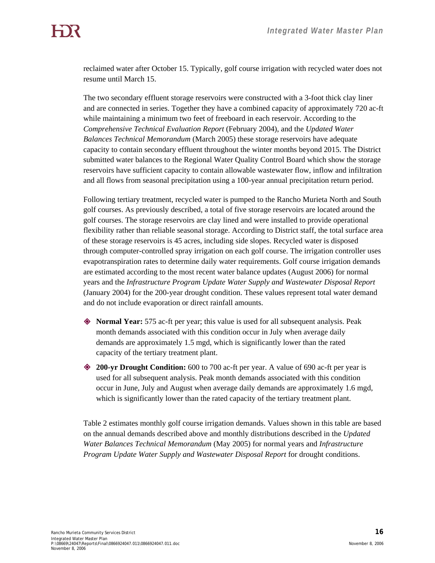reclaimed water after October 15. Typically, golf course irrigation with recycled water does not resume until March 15.

The two secondary effluent storage reservoirs were constructed with a 3-foot thick clay liner and are connected in series. Together they have a combined capacity of approximately 720 ac-ft while maintaining a minimum two feet of freeboard in each reservoir. According to the *Comprehensive Technical Evaluation Report* (February 2004), and the *Updated Water Balances Technical Memorandum* (March 2005) these storage reservoirs have adequate capacity to contain secondary effluent throughout the winter months beyond 2015. The District submitted water balances to the Regional Water Quality Control Board which show the storage reservoirs have sufficient capacity to contain allowable wastewater flow, inflow and infiltration and all flows from seasonal precipitation using a 100-year annual precipitation return period.

Following tertiary treatment, recycled water is pumped to the Rancho Murieta North and South golf courses. As previously described, a total of five storage reservoirs are located around the golf courses. The storage reservoirs are clay lined and were installed to provide operational flexibility rather than reliable seasonal storage. According to District staff, the total surface area of these storage reservoirs is 45 acres, including side slopes. Recycled water is disposed through computer-controlled spray irrigation on each golf course. The irrigation controller uses evapotranspiration rates to determine daily water requirements. Golf course irrigation demands are estimated according to the most recent water balance updates (August 2006) for normal years and the *Infrastructure Program Update Water Supply and Wastewater Disposal Report*  (January 2004) for the 200-year drought condition. These values represent total water demand and do not include evaporation or direct rainfall amounts.

- **Normal Year:** 575 ac-ft per year; this value is used for all subsequent analysis. Peak month demands associated with this condition occur in July when average daily demands are approximately 1.5 mgd, which is significantly lower than the rated capacity of the tertiary treatment plant.
- **200-yr Drought Condition:** 600 to 700 ac-ft per year. A value of 690 ac-ft per year is used for all subsequent analysis. Peak month demands associated with this condition occur in June, July and August when average daily demands are approximately 1.6 mgd, which is significantly lower than the rated capacity of the tertiary treatment plant.

Table 2 estimates monthly golf course irrigation demands. Values shown in this table are based on the annual demands described above and monthly distributions described in the *Updated Water Balances Technical Memorandum* (May 2005) for normal years and *Infrastructure Program Update Water Supply and Wastewater Disposal Report* for drought conditions.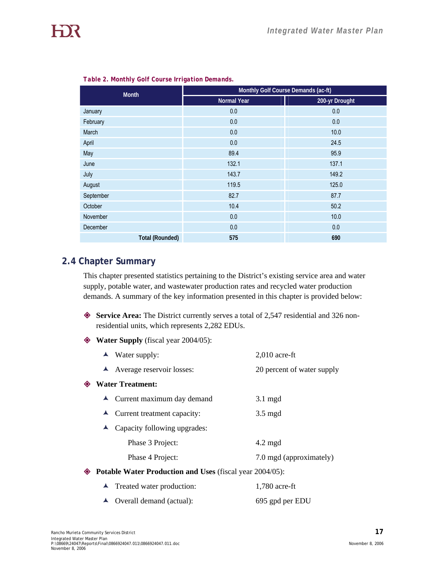| <b>Month</b>           | Monthly Golf Course Demands (ac-ft) |                |  |
|------------------------|-------------------------------------|----------------|--|
|                        | <b>Normal Year</b>                  | 200-yr Drought |  |
| January                | 0.0                                 | 0.0            |  |
| February               | 0.0                                 | 0.0            |  |
| March                  | 0.0                                 | 10.0           |  |
| April                  | 0.0                                 | 24.5           |  |
| May                    | 89.4                                | 95.9           |  |
| June                   | 132.1                               | 137.1          |  |
| July                   | 143.7                               | 149.2          |  |
| August                 | 119.5                               | 125.0          |  |
| September              | 82.7                                | 87.7           |  |
| October                | 10.4                                | 50.2           |  |
| November               | 0.0                                 | 10.0           |  |
| December               | 0.0                                 | 0.0            |  |
| <b>Total (Rounded)</b> | 575                                 | 690            |  |

*Table 2. Monthly Golf Course Irrigation Demands.* 

## **2.4 Chapter Summary**

This chapter presented statistics pertaining to the District's existing service area and water supply, potable water, and wastewater production rates and recycled water production demands. A summary of the key information presented in this chapter is provided below:

- **Service Area:** The District currently serves a total of 2,547 residential and 326 nonresidential units, which represents 2,282 EDUs.
- **Water Supply** (fiscal year 2004/05):

|   | $\blacktriangle$ Water supply:                                  | $2,010$ acre-ft            |
|---|-----------------------------------------------------------------|----------------------------|
|   | $\blacktriangle$ Average reservoir losses:                      | 20 percent of water supply |
| ◈ | <b>Water Treatment:</b>                                         |                            |
|   | $\triangle$ Current maximum day demand                          | $3.1 \text{ mgd}$          |
|   | $\blacktriangle$ Current treatment capacity:                    | $3.5 \text{ mgd}$          |
|   | Capacity following upgrades:                                    |                            |
|   | Phase 3 Project:                                                | $4.2 \text{ mgd}$          |
|   | Phase 4 Project:                                                | 7.0 mgd (approximately)    |
| ◈ | <b>Potable Water Production and Uses (fiscal year 2004/05):</b> |                            |
|   |                                                                 |                            |

| $\blacktriangle$ Treated water production: | $1,780$ acre-ft |
|--------------------------------------------|-----------------|
| $\triangle$ Overall demand (actual):       | 695 gpd per EDU |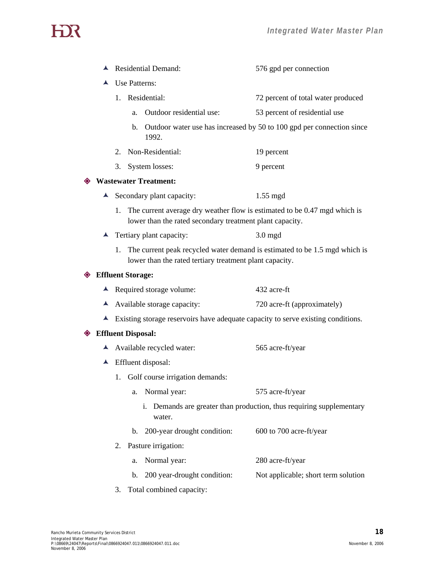| ᅀ                | <b>Residential Demand:</b>                                                                                                                  |                             | 576 gpd per connection                                                                                                                                                                                                                                                                                                                                                                                                                                                                                                                               |  |
|------------------|---------------------------------------------------------------------------------------------------------------------------------------------|-----------------------------|------------------------------------------------------------------------------------------------------------------------------------------------------------------------------------------------------------------------------------------------------------------------------------------------------------------------------------------------------------------------------------------------------------------------------------------------------------------------------------------------------------------------------------------------------|--|
| ▲                |                                                                                                                                             |                             |                                                                                                                                                                                                                                                                                                                                                                                                                                                                                                                                                      |  |
|                  |                                                                                                                                             |                             | 72 percent of total water produced                                                                                                                                                                                                                                                                                                                                                                                                                                                                                                                   |  |
|                  | a.                                                                                                                                          | Outdoor residential use:    | 53 percent of residential use                                                                                                                                                                                                                                                                                                                                                                                                                                                                                                                        |  |
|                  |                                                                                                                                             | 1992.                       | Outdoor water use has increased by 50 to 100 gpd per connection since                                                                                                                                                                                                                                                                                                                                                                                                                                                                                |  |
|                  | 2.                                                                                                                                          |                             | 19 percent                                                                                                                                                                                                                                                                                                                                                                                                                                                                                                                                           |  |
|                  |                                                                                                                                             |                             | 9 percent                                                                                                                                                                                                                                                                                                                                                                                                                                                                                                                                            |  |
|                  |                                                                                                                                             |                             |                                                                                                                                                                                                                                                                                                                                                                                                                                                                                                                                                      |  |
|                  |                                                                                                                                             |                             | $1.55$ mgd                                                                                                                                                                                                                                                                                                                                                                                                                                                                                                                                           |  |
|                  | The current average dry weather flow is estimated to be 0.47 mgd which is<br>1.<br>lower than the rated secondary treatment plant capacity. |                             |                                                                                                                                                                                                                                                                                                                                                                                                                                                                                                                                                      |  |
|                  |                                                                                                                                             |                             | $3.0$ mgd                                                                                                                                                                                                                                                                                                                                                                                                                                                                                                                                            |  |
|                  | 1. The current peak recycled water demand is estimated to be 1.5 mgd which is<br>lower than the rated tertiary treatment plant capacity.    |                             |                                                                                                                                                                                                                                                                                                                                                                                                                                                                                                                                                      |  |
|                  |                                                                                                                                             |                             |                                                                                                                                                                                                                                                                                                                                                                                                                                                                                                                                                      |  |
|                  |                                                                                                                                             |                             | 432 acre-ft                                                                                                                                                                                                                                                                                                                                                                                                                                                                                                                                          |  |
|                  |                                                                                                                                             |                             | 720 acre-ft (approximately)                                                                                                                                                                                                                                                                                                                                                                                                                                                                                                                          |  |
|                  |                                                                                                                                             |                             |                                                                                                                                                                                                                                                                                                                                                                                                                                                                                                                                                      |  |
|                  |                                                                                                                                             |                             |                                                                                                                                                                                                                                                                                                                                                                                                                                                                                                                                                      |  |
|                  |                                                                                                                                             |                             | 565 acre-ft/year                                                                                                                                                                                                                                                                                                                                                                                                                                                                                                                                     |  |
| $\blacktriangle$ | Effluent disposal:                                                                                                                          |                             |                                                                                                                                                                                                                                                                                                                                                                                                                                                                                                                                                      |  |
|                  |                                                                                                                                             |                             |                                                                                                                                                                                                                                                                                                                                                                                                                                                                                                                                                      |  |
|                  | a.                                                                                                                                          | Normal year:                | 575 acre-ft/year                                                                                                                                                                                                                                                                                                                                                                                                                                                                                                                                     |  |
|                  |                                                                                                                                             | i.<br>water.                | Demands are greater than production, thus requiring supplementary                                                                                                                                                                                                                                                                                                                                                                                                                                                                                    |  |
|                  | b.                                                                                                                                          | 200-year drought condition: | 600 to 700 acre-ft/year                                                                                                                                                                                                                                                                                                                                                                                                                                                                                                                              |  |
|                  | 2.                                                                                                                                          |                             |                                                                                                                                                                                                                                                                                                                                                                                                                                                                                                                                                      |  |
|                  | a.                                                                                                                                          | Normal year:                | 280 acre-ft/year                                                                                                                                                                                                                                                                                                                                                                                                                                                                                                                                     |  |
|                  | b.                                                                                                                                          | 200 year-drought condition: | Not applicable; short term solution                                                                                                                                                                                                                                                                                                                                                                                                                                                                                                                  |  |
|                  |                                                                                                                                             |                             | Use Patterns:<br>1. Residential:<br>b.<br>Non-Residential:<br>3. System losses:<br><b>Wastewater Treatment:</b><br>$\blacktriangle$ Secondary plant capacity:<br>$\blacktriangle$ Tertiary plant capacity:<br><b>♦ Effluent Storage:</b><br>$\blacktriangle$ Required storage volume:<br>A Available storage capacity:<br>Existing storage reservoirs have adequate capacity to serve existing conditions.<br><b>♦ Effluent Disposal:</b><br>$\blacktriangle$ Available recycled water:<br>1. Golf course irrigation demands:<br>Pasture irrigation: |  |

3. Total combined capacity: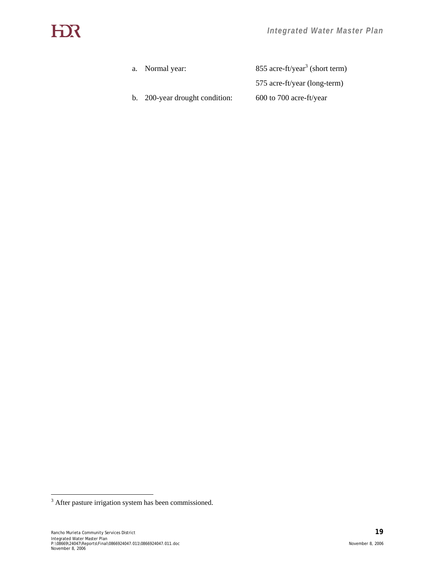| a. Normal year:                | 855 acre-ft/year <sup>3</sup> (short term) |  |  |
|--------------------------------|--------------------------------------------|--|--|
|                                | 575 acre-ft/year (long-term)               |  |  |
| b. 200-year drought condition: | $600$ to 700 acre-ft/year                  |  |  |

<sup>&</sup>lt;sup>3</sup> After pasture irrigation system has been commissioned.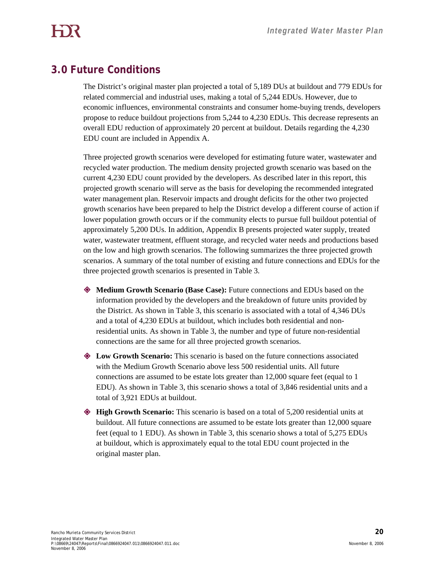# **3.0 Future Conditions**

The District's original master plan projected a total of 5,189 DUs at buildout and 779 EDUs for related commercial and industrial uses, making a total of 5,244 EDUs. However, due to economic influences, environmental constraints and consumer home-buying trends, developers propose to reduce buildout projections from 5,244 to 4,230 EDUs. This decrease represents an overall EDU reduction of approximately 20 percent at buildout. Details regarding the 4,230 EDU count are included in Appendix A.

Three projected growth scenarios were developed for estimating future water, wastewater and recycled water production. The medium density projected growth scenario was based on the current 4,230 EDU count provided by the developers. As described later in this report, this projected growth scenario will serve as the basis for developing the recommended integrated water management plan. Reservoir impacts and drought deficits for the other two projected growth scenarios have been prepared to help the District develop a different course of action if lower population growth occurs or if the community elects to pursue full buildout potential of approximately 5,200 DUs. In addition, Appendix B presents projected water supply, treated water, wastewater treatment, effluent storage, and recycled water needs and productions based on the low and high growth scenarios. The following summarizes the three projected growth scenarios. A summary of the total number of existing and future connections and EDUs for the three projected growth scenarios is presented in Table 3.

- **Medium Growth Scenario (Base Case):** Future connections and EDUs based on the information provided by the developers and the breakdown of future units provided by the District. As shown in Table 3, this scenario is associated with a total of 4,346 DUs and a total of 4,230 EDUs at buildout, which includes both residential and nonresidential units. As shown in Table 3, the number and type of future non-residential connections are the same for all three projected growth scenarios.
- **Low Growth Scenario:** This scenario is based on the future connections associated with the Medium Growth Scenario above less 500 residential units. All future connections are assumed to be estate lots greater than 12,000 square feet (equal to 1 EDU). As shown in Table 3, this scenario shows a total of 3,846 residential units and a total of 3,921 EDUs at buildout.
- **High Growth Scenario:** This scenario is based on a total of 5,200 residential units at buildout. All future connections are assumed to be estate lots greater than 12,000 square feet (equal to 1 EDU). As shown in Table 3, this scenario shows a total of 5,275 EDUs at buildout, which is approximately equal to the total EDU count projected in the original master plan.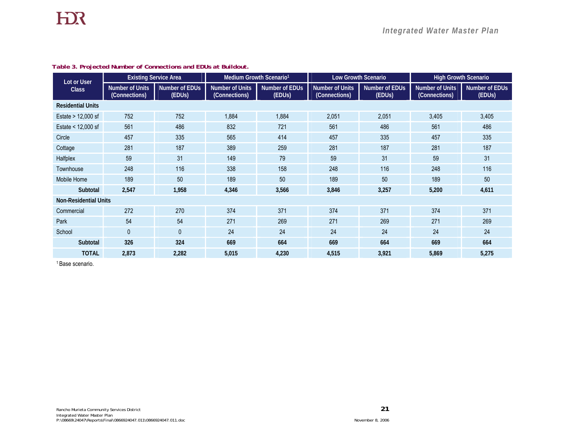| Lot or User                  | <b>Existing Service Area</b>            |                                       | Medium Growth Scenario <sup>1</sup>     |                                              | <b>Low Growth Scenario</b>              |                                              | <b>High Growth Scenario</b>             |                          |
|------------------------------|-----------------------------------------|---------------------------------------|-----------------------------------------|----------------------------------------------|-----------------------------------------|----------------------------------------------|-----------------------------------------|--------------------------|
| <b>Class</b>                 | <b>Number of Units</b><br>(Connections) | Number of EDUs<br>(EDU <sub>S</sub> ) | <b>Number of Units</b><br>(Connections) | <b>Number of EDUs</b><br>(EDU <sub>S</sub> ) | <b>Number of Units</b><br>(Connections) | <b>Number of EDUs</b><br>(EDU <sub>s</sub> ) | <b>Number of Units</b><br>(Connections) | Number of EDUs<br>(EDUs) |
| <b>Residential Units</b>     |                                         |                                       |                                         |                                              |                                         |                                              |                                         |                          |
| Estate > 12,000 sf           | 752                                     | 752                                   | 1,884                                   | 1,884                                        | 2,051                                   | 2,051                                        | 3,405                                   | 3,405                    |
| Estate < 12,000 sf           | 561                                     | 486                                   | 832                                     | 721                                          | 561                                     | 486                                          | 561                                     | 486                      |
| Circle                       | 457                                     | 335                                   | 565                                     | 414                                          | 457                                     | 335                                          | 457                                     | 335                      |
| Cottage                      | 281                                     | 187                                   | 389                                     | 259                                          | 281                                     | 187                                          | 281                                     | 187                      |
| Halfplex                     | 59                                      | 31                                    | 149                                     | 79                                           | 59                                      | 31                                           | 59                                      | 31                       |
| Townhouse                    | 248                                     | 116                                   | 338                                     | 158                                          | 248                                     | 116                                          | 248                                     | 116                      |
| Mobile Home                  | 189                                     | 50                                    | 189                                     | 50                                           | 189                                     | 50                                           | 189                                     | 50                       |
| Subtotal                     | 2,547                                   | 1,958                                 | 4,346                                   | 3,566                                        | 3,846                                   | 3,257                                        | 5,200                                   | 4,611                    |
| <b>Non-Residential Units</b> |                                         |                                       |                                         |                                              |                                         |                                              |                                         |                          |
| Commercial                   | 272                                     | 270                                   | 374                                     | 371                                          | 374                                     | 371                                          | 374                                     | 371                      |
| Park                         | 54                                      | 54                                    | 271                                     | 269                                          | 271                                     | 269                                          | 271                                     | 269                      |
| School                       | $\mathbf{0}$                            | $\mathbf{0}$                          | 24                                      | 24                                           | 24                                      | 24                                           | 24                                      | 24                       |
| Subtotal                     | 326                                     | 324                                   | 669                                     | 664                                          | 669                                     | 664                                          | 669                                     | 664                      |
| <b>TOTAL</b>                 | 2,873                                   | 2,282                                 | 5,015                                   | 4,230                                        | 4,515                                   | 3,921                                        | 5,869                                   | 5,275                    |

#### *Table 3. Projected Number of Connections and EDUs at Buildout.*

1 Base scenario.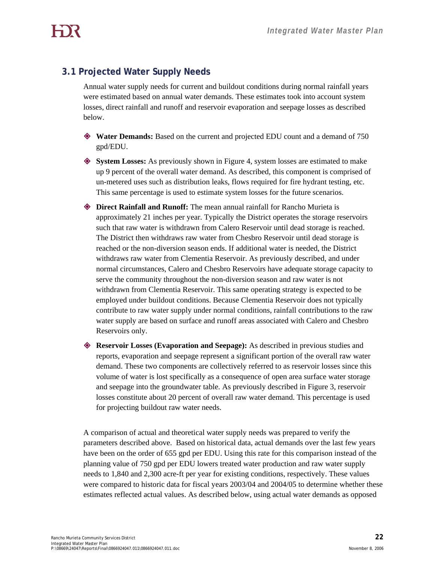# **3.1 Projected Water Supply Needs**

Annual water supply needs for current and buildout conditions during normal rainfall years were estimated based on annual water demands. These estimates took into account system losses, direct rainfall and runoff and reservoir evaporation and seepage losses as described below.

- **Water Demands:** Based on the current and projected EDU count and a demand of 750 gpd/EDU.
- **System Losses:** As previously shown in Figure 4, system losses are estimated to make up 9 percent of the overall water demand. As described, this component is comprised of un-metered uses such as distribution leaks, flows required for fire hydrant testing, etc. This same percentage is used to estimate system losses for the future scenarios.
- **Direct Rainfall and Runoff:** The mean annual rainfall for Rancho Murieta is approximately 21 inches per year. Typically the District operates the storage reservoirs such that raw water is withdrawn from Calero Reservoir until dead storage is reached. The District then withdraws raw water from Chesbro Reservoir until dead storage is reached or the non-diversion season ends. If additional water is needed, the District withdraws raw water from Clementia Reservoir. As previously described, and under normal circumstances, Calero and Chesbro Reservoirs have adequate storage capacity to serve the community throughout the non-diversion season and raw water is not withdrawn from Clementia Reservoir. This same operating strategy is expected to be employed under buildout conditions. Because Clementia Reservoir does not typically contribute to raw water supply under normal conditions, rainfall contributions to the raw water supply are based on surface and runoff areas associated with Calero and Chesbro Reservoirs only.
- **Reservoir Losses (Evaporation and Seepage):** As described in previous studies and reports, evaporation and seepage represent a significant portion of the overall raw water demand. These two components are collectively referred to as reservoir losses since this volume of water is lost specifically as a consequence of open area surface water storage and seepage into the groundwater table. As previously described in Figure 3, reservoir losses constitute about 20 percent of overall raw water demand. This percentage is used for projecting buildout raw water needs.

A comparison of actual and theoretical water supply needs was prepared to verify the parameters described above. Based on historical data, actual demands over the last few years have been on the order of 655 gpd per EDU. Using this rate for this comparison instead of the planning value of 750 gpd per EDU lowers treated water production and raw water supply needs to 1,840 and 2,300 acre-ft per year for existing conditions, respectively. These values were compared to historic data for fiscal years 2003/04 and 2004/05 to determine whether these estimates reflected actual values. As described below, using actual water demands as opposed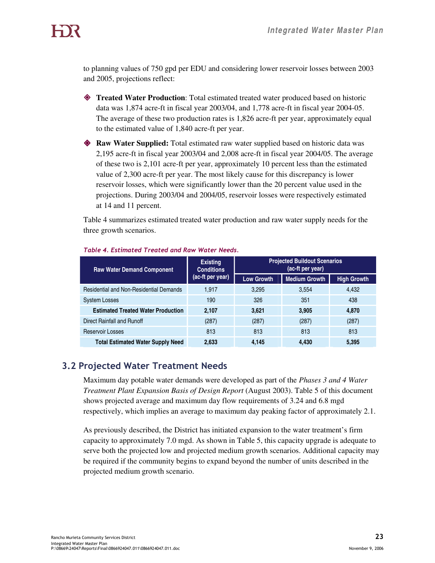to planning values of 750 gpd per EDU and considering lower reservoir losses between 2003 and 2005, projections reflect:

- **Treated Water Production**: Total estimated treated water produced based on historic data was 1,874 acre-ft in fiscal year 2003/04, and 1,778 acre-ft in fiscal year 2004-05. The average of these two production rates is 1,826 acre-ft per year, approximately equal to the estimated value of 1,840 acre-ft per year.
- **Raw Water Supplied:** Total estimated raw water supplied based on historic data was 2,195 acre-ft in fiscal year 2003/04 and 2,008 acre-ft in fiscal year 2004/05. The average of these two is 2,101 acre-ft per year, approximately 10 percent less than the estimated value of 2,300 acre-ft per year. The most likely cause for this discrepancy is lower reservoir losses, which were significantly lower than the 20 percent value used in the projections. During 2003/04 and 2004/05, reservoir losses were respectively estimated at 14 and 11 percent.

Table 4 summarizes estimated treated water production and raw water supply needs for the three growth scenarios.

| <b>Raw Water Demand Component</b>              | <b>Existing</b><br><b>Conditions</b><br>(ac-ft per year) | <b>Projected Buildout Scenarios</b><br>(ac-ft per year) |                      |                    |  |
|------------------------------------------------|----------------------------------------------------------|---------------------------------------------------------|----------------------|--------------------|--|
|                                                |                                                          | <b>Low Growth</b>                                       | <b>Medium Growth</b> | <b>High Growth</b> |  |
| <b>Residential and Non-Residential Demands</b> | 1.917                                                    | 3.295                                                   | 3.554                | 4.432              |  |
| <b>System Losses</b>                           | 190                                                      | 326                                                     | 351                  | 438                |  |
| <b>Estimated Treated Water Production</b>      | 2,107                                                    | 3,621                                                   | 3,905                | 4,870              |  |
| Direct Rainfall and Runoff                     | (287)                                                    | (287)                                                   | (287)                | (287)              |  |
| Reservoir Losses                               | 813                                                      | 813                                                     | 813                  | 813                |  |
| <b>Total Estimated Water Supply Need</b>       | 2.633                                                    | 4.145                                                   | 4.430                | 5,395              |  |

#### Table 4. Estimated Treated and Raw Water Needs.

# 3.2 Projected Water Treatment Needs

Maximum day potable water demands were developed as part of the *Phases 3 and 4 Water Treatment Plant Expansion Basis of Design Report* (August 2003). Table 5 of this document shows projected average and maximum day flow requirements of 3.24 and 6.8 mgd respectively, which implies an average to maximum day peaking factor of approximately 2.1.

As previously described, the District has initiated expansion to the water treatment's firm capacity to approximately 7.0 mgd. As shown in Table 5, this capacity upgrade is adequate to serve both the projected low and projected medium growth scenarios. Additional capacity may be required if the community begins to expand beyond the number of units described in the projected medium growth scenario.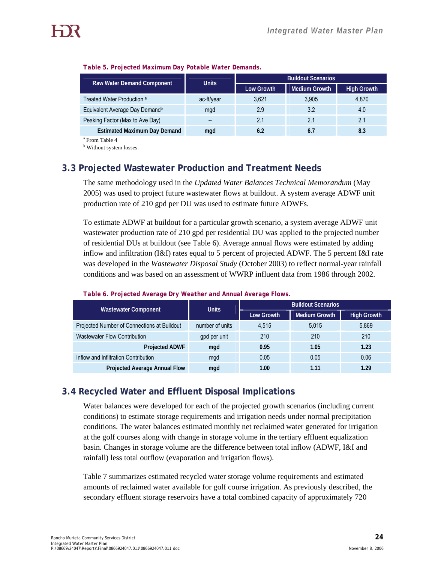| Raw Water Demand Component                 | <b>Units</b> | <b>Buildout Scenarios</b> |                      |                    |  |
|--------------------------------------------|--------------|---------------------------|----------------------|--------------------|--|
|                                            |              | <b>Low Growth</b>         | <b>Medium Growth</b> | <b>High Growth</b> |  |
| Treated Water Production <sup>a</sup>      | ac-ft/year   | 3.621                     | 3,905                | 4.870              |  |
| Equivalent Average Day Demand <sup>b</sup> | mgd          | 2.9                       | 3.2                  | 4.0                |  |
| Peaking Factor (Max to Ave Day)            | --           | 2.1                       | 2.1                  | 2.1                |  |
| <b>Estimated Maximum Day Demand</b>        | mgd          | 6.2                       | 6.7                  | 8.3                |  |

#### *Table 5. Projected Maximum Day Potable Water Demands.*

a From Table 4

<sup>b</sup> Without system losses.

## **3.3 Projected Wastewater Production and Treatment Needs**

The same methodology used in the *Updated Water Balances Technical Memorandum* (May 2005) was used to project future wastewater flows at buildout. A system average ADWF unit production rate of 210 gpd per DU was used to estimate future ADWFs.

To estimate ADWF at buildout for a particular growth scenario, a system average ADWF unit wastewater production rate of 210 gpd per residential DU was applied to the projected number of residential DUs at buildout (see Table 6). Average annual flows were estimated by adding inflow and infiltration (I&I) rates equal to 5 percent of projected ADWF. The 5 percent I&I rate was developed in the *Wastewater Disposal Study* (October 2003) to reflect normal-year rainfall conditions and was based on an assessment of WWRP influent data from 1986 through 2002.

| <b>Wastewater Component</b>                 | <b>Units</b>    | <b>Buildout Scenarios</b> |                      |                    |  |
|---------------------------------------------|-----------------|---------------------------|----------------------|--------------------|--|
|                                             |                 | <b>Low Growth</b>         | <b>Medium Growth</b> | <b>High Growth</b> |  |
| Projected Number of Connections at Buildout | number of units | 4.515                     | 5.015                | 5,869              |  |
| <b>Wastewater Flow Contribution</b>         | gpd per unit    | 210                       | 210                  | 210                |  |
| <b>Projected ADWF</b>                       | mgd             | 0.95                      | 1.05                 | 1.23               |  |
| Inflow and Infiltration Contribution        | mgd             | 0.05                      | 0.05                 | 0.06               |  |
| Projected Average Annual Flow               | mgd             | 1.00                      | 1.11                 | 1.29               |  |

#### *Table 6. Projected Average Dry Weather and Annual Average Flows.*

## **3.4 Recycled Water and Effluent Disposal Implications**

Water balances were developed for each of the projected growth scenarios (including current conditions) to estimate storage requirements and irrigation needs under normal precipitation conditions. The water balances estimated monthly net reclaimed water generated for irrigation at the golf courses along with change in storage volume in the tertiary effluent equalization basin. Changes in storage volume are the difference between total inflow (ADWF, I&I and rainfall) less total outflow (evaporation and irrigation flows).

Table 7 summarizes estimated recycled water storage volume requirements and estimated amounts of reclaimed water available for golf course irrigation. As previously described, the secondary effluent storage reservoirs have a total combined capacity of approximately 720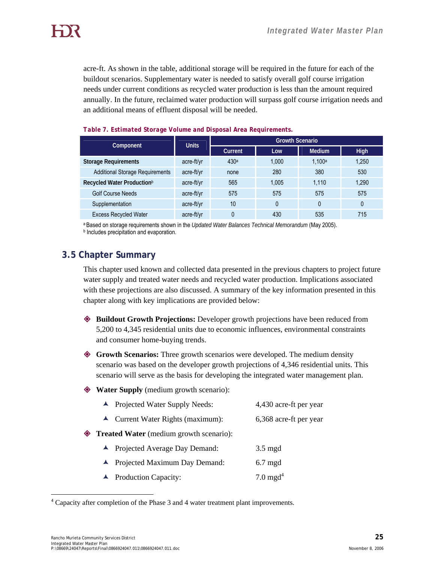acre-ft. As shown in the table, additional storage will be required in the future for each of the buildout scenarios. Supplementary water is needed to satisfy overall golf course irrigation needs under current conditions as recycled water production is less than the amount required annually. In the future, reclaimed water production will surpass golf course irrigation needs and an additional means of effluent disposal will be needed.

| Component                              | <b>Units</b> | <b>Growth Scenario</b> |       |               |             |  |
|----------------------------------------|--------------|------------------------|-------|---------------|-------------|--|
|                                        |              | Current                | Low   | <b>Medium</b> | <b>High</b> |  |
| <b>Storage Requirements</b>            | acre-ft/yr   | 430 <sup>a</sup>       | 1.000 | 1.100a        | 1,250       |  |
| <b>Additional Storage Requirements</b> | acre-ft/yr   | none                   | 280   | 380           | 530         |  |
| Recycled Water Production <sup>b</sup> | acre-ft/yr   | 565                    | 1.005 | 1.110         | 1,290       |  |
| <b>Golf Course Needs</b>               | acre-ft/yr   | 575                    | 575   | 575           | 575         |  |
| Supplementation                        | acre-ft/yr   | 10                     | 0     |               | 0           |  |
| <b>Excess Recycled Water</b>           | acre-ft/yr   |                        | 430   | 535           | 715         |  |

#### *Table 7. Estimated Storage Volume and Disposal Area Requirements.*

a Based on storage requirements shown in the *Updated Water Balances Technical Memorandum* (May 2005). **b** Includes precipitation and evaporation.

## **3.5 Chapter Summary**

This chapter used known and collected data presented in the previous chapters to project future water supply and treated water needs and recycled water production. Implications associated with these projections are also discussed. A summary of the key information presented in this chapter along with key implications are provided below:

- **Buildout Growth Projections:** Developer growth projections have been reduced from 5,200 to 4,345 residential units due to economic influences, environmental constraints and consumer home-buying trends.
- **Growth Scenarios:** Three growth scenarios were developed. The medium density scenario was based on the developer growth projections of 4,346 residential units. This scenario will serve as the basis for developing the integrated water management plan.
- **Water Supply** (medium growth scenario):
	- ▲ Projected Water Supply Needs: 4,430 acre-ft per year
	- ▲ Current Water Rights (maximum): 6,368 acre-ft per year
- **Treated Water** (medium growth scenario):
	- ▲ Projected Average Day Demand: 3.5 mgd
	- ▲ Projected Maximum Day Demand: 6.7 mgd
	- $\blacktriangle$  Production Capacity: 7.0 mgd<sup>4</sup>

 $\overline{a}$ 

<sup>&</sup>lt;sup>4</sup> Capacity after completion of the Phase 3 and 4 water treatment plant improvements.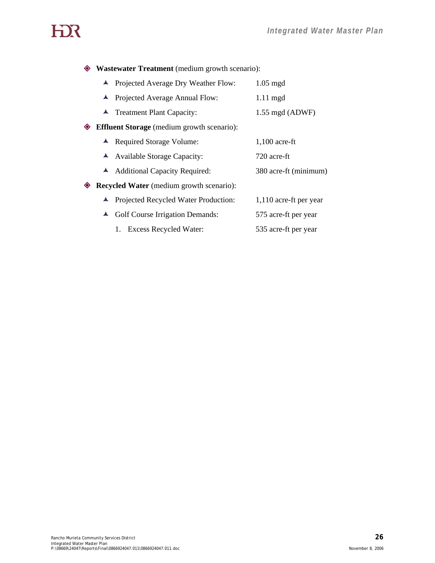# HOR

**Wastewater Treatment** (medium growth scenario):

- ▲ Projected Average Dry Weather Flow: 1.05 mgd
- ▲ Projected Average Annual Flow: 1.11 mgd
- ▲ Treatment Plant Capacity: 1.55 mgd (ADWF)
- **Effluent Storage** (medium growth scenario):
	- ▲ Required Storage Volume: 1,100 acre-ft
	- È Available Storage Capacity: 720 acre-ft
	- È Additional Capacity Required: 380 acre-ft (minimum)

**Recycled Water** (medium growth scenario):

- ▲ Projected Recycled Water Production: 1,110 acre-ft per year
- ▲ Golf Course Irrigation Demands: 575 acre-ft per year
	- 1. Excess Recycled Water: 535 acre-ft per year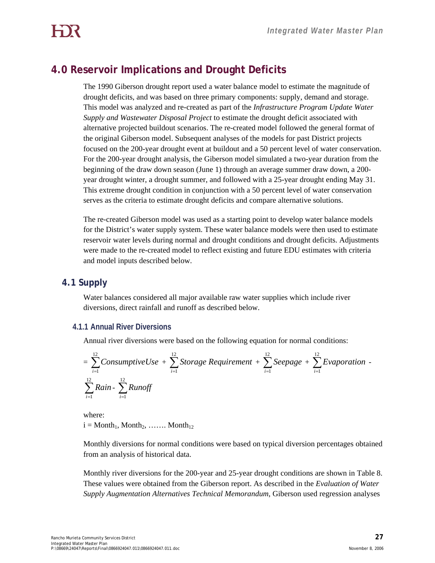## **4.0 Reservoir Implications and Drought Deficits**

The 1990 Giberson drought report used a water balance model to estimate the magnitude of drought deficits, and was based on three primary components: supply, demand and storage. This model was analyzed and re-created as part of the *Infrastructure Program Update Water Supply and Wastewater Disposal Project* to estimate the drought deficit associated with alternative projected buildout scenarios. The re-created model followed the general format of the original Giberson model. Subsequent analyses of the models for past District projects focused on the 200-year drought event at buildout and a 50 percent level of water conservation. For the 200-year drought analysis, the Giberson model simulated a two-year duration from the beginning of the draw down season (June 1) through an average summer draw down, a 200 year drought winter, a drought summer, and followed with a 25-year drought ending May 31. This extreme drought condition in conjunction with a 50 percent level of water conservation serves as the criteria to estimate drought deficits and compare alternative solutions.

The re-created Giberson model was used as a starting point to develop water balance models for the District's water supply system. These water balance models were then used to estimate reservoir water levels during normal and drought conditions and drought deficits. Adjustments were made to the re-created model to reflect existing and future EDU estimates with criteria and model inputs described below.

## **4.1 Supply**

Water balances considered all major available raw water supplies which include river diversions, direct rainfall and runoff as described below.

## **4.1.1 Annual River Diversions**

Annual river diversions were based on the following equation for normal conditions:

$$
= \sum_{i=1}^{12} \text{ConsumptiveUse} + \sum_{i=1}^{12} \text{Storage Requirements} + \sum_{i=1}^{12} \text{Sequence} + \sum_{i=1}^{12} \text{Evaporation}
$$

$$
= \sum_{i=1}^{12} \text{Rain} - \sum_{i=1}^{12} \text{Runoff}
$$

where:  $i = \text{Month}_1, \text{Month}_2, \dots \dots \text{Month}_{12}$ 

Monthly diversions for normal conditions were based on typical diversion percentages obtained from an analysis of historical data.

Monthly river diversions for the 200-year and 25-year drought conditions are shown in Table 8. These values were obtained from the Giberson report. As described in the *Evaluation of Water Supply Augmentation Alternatives Technical Memorandum*, Giberson used regression analyses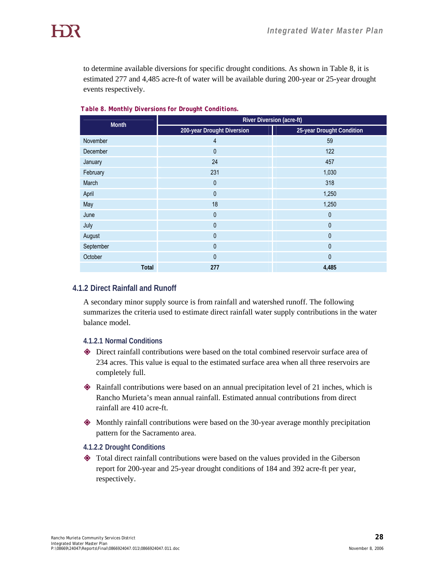to determine available diversions for specific drought conditions. As shown in Table 8, it is estimated 277 and 4,485 acre-ft of water will be available during 200-year or 25-year drought events respectively.

| <b>Month</b>    | <b>River Diversion (acre-ft)</b> |                           |  |  |  |
|-----------------|----------------------------------|---------------------------|--|--|--|
|                 | 200-year Drought Diversion       | 25-year Drought Condition |  |  |  |
| November        | 4                                | 59                        |  |  |  |
| <b>December</b> | 0                                | 122                       |  |  |  |
| January         | 24                               | 457                       |  |  |  |
| February        | 231                              | 1,030                     |  |  |  |
| March           | $\mathbf{0}$                     | 318                       |  |  |  |
| April           | 0                                | 1,250                     |  |  |  |
| May             | 18                               | 1,250                     |  |  |  |
| June            | 0                                | $\mathbf{0}$              |  |  |  |
| July            | $\mathbf{0}$                     | $\theta$                  |  |  |  |
| August          | 0                                | $\mathbf{0}$              |  |  |  |
| September       | $\mathbf{0}$                     | $\mathbf{0}$              |  |  |  |
| October         | $\mathbf{0}$                     | $\theta$                  |  |  |  |
| Total           | 277                              | 4,485                     |  |  |  |

*Table 8. Monthly Diversions for Drought Conditions.* 

## **4.1.2 Direct Rainfall and Runoff**

A secondary minor supply source is from rainfall and watershed runoff. The following summarizes the criteria used to estimate direct rainfall water supply contributions in the water balance model.

#### **4.1.2.1 Normal Conditions**

- Direct rainfall contributions were based on the total combined reservoir surface area of 234 acres. This value is equal to the estimated surface area when all three reservoirs are completely full.
- Rainfall contributions were based on an annual precipitation level of 21 inches, which is Rancho Murieta's mean annual rainfall. Estimated annual contributions from direct rainfall are 410 acre-ft.
- Monthly rainfall contributions were based on the 30-year average monthly precipitation pattern for the Sacramento area.

#### **4.1.2.2 Drought Conditions**

 Total direct rainfall contributions were based on the values provided in the Giberson report for 200-year and 25-year drought conditions of 184 and 392 acre-ft per year, respectively.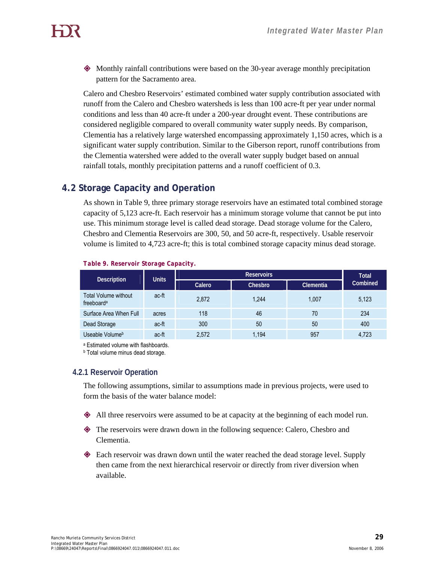Monthly rainfall contributions were based on the 30-year average monthly precipitation pattern for the Sacramento area.

Calero and Chesbro Reservoirs' estimated combined water supply contribution associated with runoff from the Calero and Chesbro watersheds is less than 100 acre-ft per year under normal conditions and less than 40 acre-ft under a 200-year drought event. These contributions are considered negligible compared to overall community water supply needs. By comparison, Clementia has a relatively large watershed encompassing approximately 1,150 acres, which is a significant water supply contribution. Similar to the Giberson report, runoff contributions from the Clementia watershed were added to the overall water supply budget based on annual rainfall totals, monthly precipitation patterns and a runoff coefficient of 0.3.

## **4.2 Storage Capacity and Operation**

As shown in Table 9, three primary storage reservoirs have an estimated total combined storage capacity of 5,123 acre-ft. Each reservoir has a minimum storage volume that cannot be put into use. This minimum storage level is called dead storage. Dead storage volume for the Calero, Chesbro and Clementia Reservoirs are 300, 50, and 50 acre-ft, respectively. Usable reservoir volume is limited to 4,723 acre-ft; this is total combined storage capacity minus dead storage.

| <b>Description</b>                                    | <b>Units</b> |        | <b>Total</b> |                  |          |
|-------------------------------------------------------|--------------|--------|--------------|------------------|----------|
|                                                       |              | Calero | Chesbro      | <b>Clementia</b> | Combined |
| <b>Total Volume without</b><br>freeboard <sup>a</sup> | ac-ft        | 2,872  | 1.244        | 1.007            | 5,123    |
| Surface Area When Full                                | acres        | 118    | 46           | 70               | 234      |
| Dead Storage                                          | ac-ft        | 300    | 50           | 50               | 400      |
| Useable Volume <sup>b</sup>                           | ac-ft        | 2,572  | 1,194        | 957              | 4,723    |

#### *Table 9. Reservoir Storage Capacity.*

a Estimated volume with flashboards.

**b** Total volume minus dead storage.

## **4.2.1 Reservoir Operation**

The following assumptions, similar to assumptions made in previous projects, were used to form the basis of the water balance model:

- All three reservoirs were assumed to be at capacity at the beginning of each model run.
- The reservoirs were drawn down in the following sequence: Calero, Chesbro and Clementia.
- Each reservoir was drawn down until the water reached the dead storage level. Supply then came from the next hierarchical reservoir or directly from river diversion when available.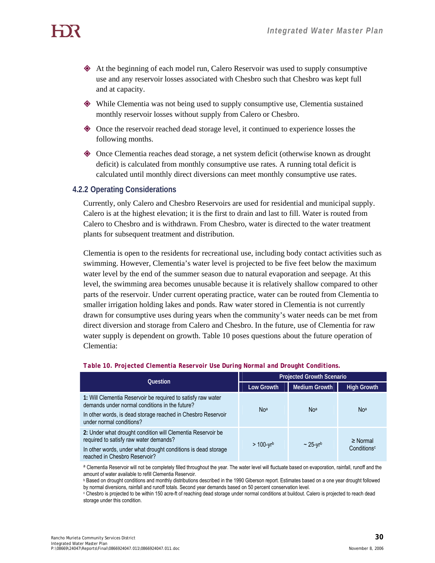- At the beginning of each model run, Calero Reservoir was used to supply consumptive use and any reservoir losses associated with Chesbro such that Chesbro was kept full and at capacity.
- While Clementia was not being used to supply consumptive use, Clementia sustained monthly reservoir losses without supply from Calero or Chesbro.
- Once the reservoir reached dead storage level, it continued to experience losses the following months.
- Once Clementia reaches dead storage, a net system deficit (otherwise known as drought deficit) is calculated from monthly consumptive use rates. A running total deficit is calculated until monthly direct diversions can meet monthly consumptive use rates.

#### **4.2.2 Operating Considerations**

Currently, only Calero and Chesbro Reservoirs are used for residential and municipal supply. Calero is at the highest elevation; it is the first to drain and last to fill. Water is routed from Calero to Chesbro and is withdrawn. From Chesbro, water is directed to the water treatment plants for subsequent treatment and distribution.

Clementia is open to the residents for recreational use, including body contact activities such as swimming. However, Clementia's water level is projected to be five feet below the maximum water level by the end of the summer season due to natural evaporation and seepage. At this level, the swimming area becomes unusable because it is relatively shallow compared to other parts of the reservoir. Under current operating practice, water can be routed from Clementia to smaller irrigation holding lakes and ponds. Raw water stored in Clementia is not currently drawn for consumptive uses during years when the community's water needs can be met from direct diversion and storage from Calero and Chesbro. In the future, use of Clementia for raw water supply is dependent on growth. Table 10 poses questions about the future operation of Clementia:

| <b>Question</b>                                                                                                                                                                                            | <b>Projected Growth Scenario</b> |                      |                                          |  |
|------------------------------------------------------------------------------------------------------------------------------------------------------------------------------------------------------------|----------------------------------|----------------------|------------------------------------------|--|
|                                                                                                                                                                                                            | <b>Low Growth</b>                | <b>Medium Growth</b> | <b>High Growth</b>                       |  |
| 1: Will Clementia Reservoir be required to satisfy raw water<br>demands under normal conditions in the future?<br>In other words, is dead storage reached in Chesbro Reservoir<br>under normal conditions? | No <sup>a</sup>                  | No <sup>a</sup>      | Noa                                      |  |
| 2: Under what drought condition will Clementia Reservoir be<br>required to satisfy raw water demands?<br>In other words, under what drought conditions is dead storage<br>reached in Chesbro Reservoir?    | $> 100 - yr^{b}$                 | $\sim$ 25-vrb        | $\geq$ Normal<br>Conditions <sup>c</sup> |  |

#### *Table 10. Projected Clementia Reservoir Use During Normal and Drought Conditions.*

a Clementia Reservoir will not be completely filled throughout the year. The water level will fluctuate based on evaporation, rainfall, runoff and the amount of water available to refill Clementia Reservoir.<br><sup>b</sup> Based on drought conditions and monthly distributions described in the 1990 Giberson report. Estimates based on a one year drought followed

by normal diversions, rainfall and runoff totals. Second year demands based on 50 percent conservation level.<br>
Chesbro is projected to be within 150 acre-ft of reaching dead storage under normal conditions at buildout. Cal

storage under this condition.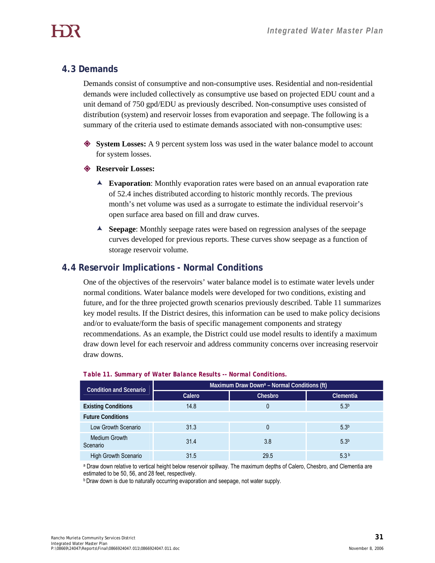## **4.3 Demands**

Demands consist of consumptive and non-consumptive uses. Residential and non-residential demands were included collectively as consumptive use based on projected EDU count and a unit demand of 750 gpd/EDU as previously described. Non-consumptive uses consisted of distribution (system) and reservoir losses from evaporation and seepage. The following is a summary of the criteria used to estimate demands associated with non-consumptive uses:

- **System Losses:** A 9 percent system loss was used in the water balance model to account for system losses.
- **Reservoir Losses:**
	- È **Evaporation**: Monthly evaporation rates were based on an annual evaporation rate of 52.4 inches distributed according to historic monthly records. The previous month's net volume was used as a surrogate to estimate the individual reservoir's open surface area based on fill and draw curves.
	- È **Seepage**: Monthly seepage rates were based on regression analyses of the seepage curves developed for previous reports. These curves show seepage as a function of storage reservoir volume.

## **4.4 Reservoir Implications - Normal Conditions**

One of the objectives of the reservoirs' water balance model is to estimate water levels under normal conditions. Water balance models were developed for two conditions, existing and future, and for the three projected growth scenarios previously described. Table 11 summarizes key model results. If the District desires, this information can be used to make policy decisions and/or to evaluate/form the basis of specific management components and strategy recommendations. As an example, the District could use model results to identify a maximum draw down level for each reservoir and address community concerns over increasing reservoir draw downs.

| <b>Condition and Scenario</b> | Maximum Draw Down <sup>a</sup> - Normal Conditions (ft) |         |                  |  |  |  |  |
|-------------------------------|---------------------------------------------------------|---------|------------------|--|--|--|--|
|                               | Calero                                                  | Chesbro | <b>Clementia</b> |  |  |  |  |
| <b>Existing Conditions</b>    | 14.8                                                    | 0       | 5.3 <sup>b</sup> |  |  |  |  |
| <b>Future Conditions</b>      |                                                         |         |                  |  |  |  |  |
| Low Growth Scenario           | 31.3                                                    | 0       | 5.3 <sup>b</sup> |  |  |  |  |
| Medium Growth<br>Scenario     | 31.4                                                    | 3.8     | 5.3 <sup>b</sup> |  |  |  |  |
| <b>High Growth Scenario</b>   | 31.5                                                    | 29.5    | 5.3 <sup>b</sup> |  |  |  |  |

## *Table 11. Summary of Water Balance Results -- Normal Conditions.*

a Draw down relative to vertical height below reservoir spillway. The maximum depths of Calero, Chesbro, and Clementia are estimated to be 50, 56, and 28 feet, respectively.

**b Draw down is due to naturally occurring evaporation and seepage, not water supply.**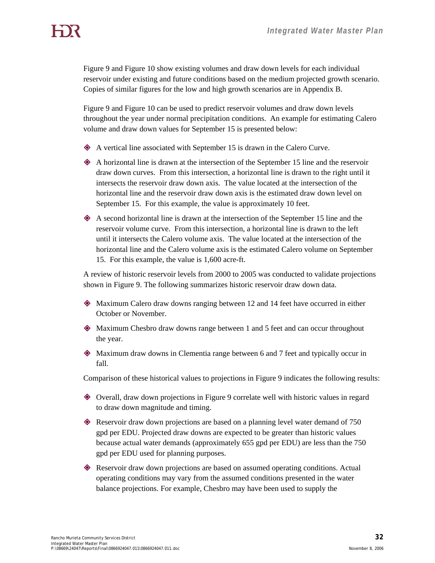Figure 9 and Figure 10 show existing volumes and draw down levels for each individual reservoir under existing and future conditions based on the medium projected growth scenario. Copies of similar figures for the low and high growth scenarios are in Appendix B.

Figure 9 and Figure 10 can be used to predict reservoir volumes and draw down levels throughout the year under normal precipitation conditions. An example for estimating Calero volume and draw down values for September 15 is presented below:

- A vertical line associated with September 15 is drawn in the Calero Curve.
- A horizontal line is drawn at the intersection of the September 15 line and the reservoir draw down curves. From this intersection, a horizontal line is drawn to the right until it intersects the reservoir draw down axis. The value located at the intersection of the horizontal line and the reservoir draw down axis is the estimated draw down level on September 15. For this example, the value is approximately 10 feet.
- A second horizontal line is drawn at the intersection of the September 15 line and the reservoir volume curve. From this intersection, a horizontal line is drawn to the left until it intersects the Calero volume axis. The value located at the intersection of the horizontal line and the Calero volume axis is the estimated Calero volume on September 15. For this example, the value is 1,600 acre-ft.

A review of historic reservoir levels from 2000 to 2005 was conducted to validate projections shown in Figure 9. The following summarizes historic reservoir draw down data.

- Maximum Calero draw downs ranging between 12 and 14 feet have occurred in either October or November.
- Maximum Chesbro draw downs range between 1 and 5 feet and can occur throughout the year.
- Maximum draw downs in Clementia range between 6 and 7 feet and typically occur in fall.

Comparison of these historical values to projections in Figure 9 indicates the following results:

- Overall, draw down projections in Figure 9 correlate well with historic values in regard to draw down magnitude and timing.
- Reservoir draw down projections are based on a planning level water demand of 750 gpd per EDU. Projected draw downs are expected to be greater than historic values because actual water demands (approximately 655 gpd per EDU) are less than the 750 gpd per EDU used for planning purposes.
- Reservoir draw down projections are based on assumed operating conditions. Actual operating conditions may vary from the assumed conditions presented in the water balance projections. For example, Chesbro may have been used to supply the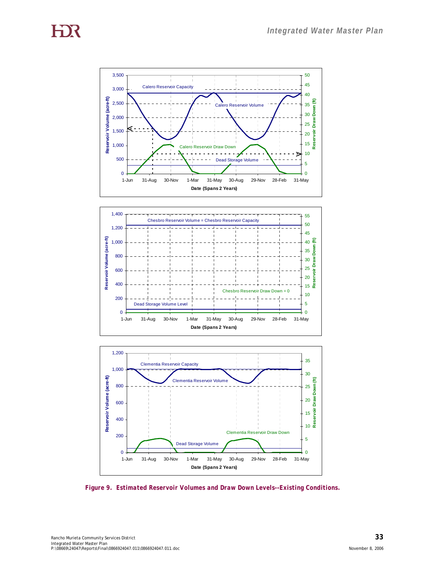





*Figure 9. Estimated Reservoir Volumes and Draw Down Levels--Existing Conditions.*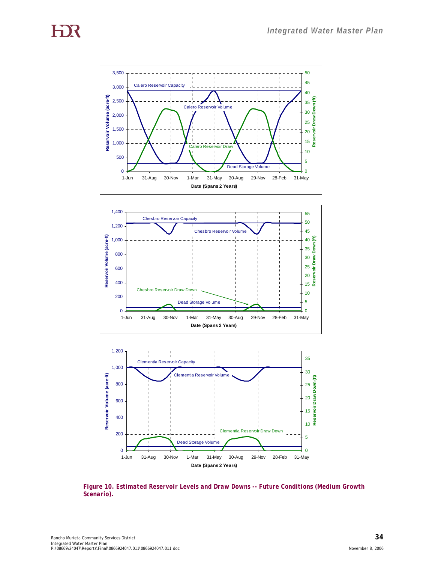





*Figure 10. Estimated Reservoir Levels and Draw Downs -- Future Conditions (Medium Growth Scenario).*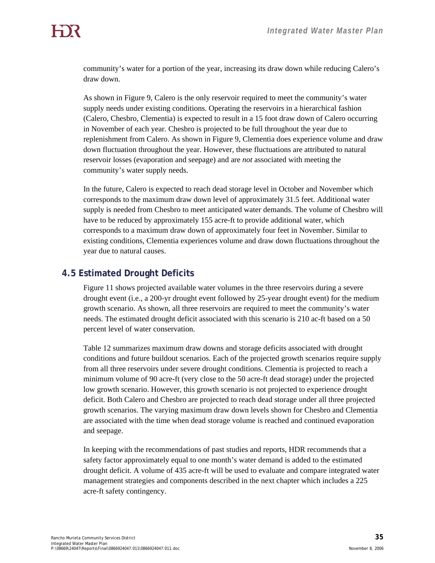community's water for a portion of the year, increasing its draw down while reducing Calero's draw down.

As shown in Figure 9, Calero is the only reservoir required to meet the community's water supply needs under existing conditions. Operating the reservoirs in a hierarchical fashion (Calero, Chesbro, Clementia) is expected to result in a 15 foot draw down of Calero occurring in November of each year. Chesbro is projected to be full throughout the year due to replenishment from Calero. As shown in Figure 9, Clementia does experience volume and draw down fluctuation throughout the year. However, these fluctuations are attributed to natural reservoir losses (evaporation and seepage) and are *not* associated with meeting the community's water supply needs.

In the future, Calero is expected to reach dead storage level in October and November which corresponds to the maximum draw down level of approximately 31.5 feet. Additional water supply is needed from Chesbro to meet anticipated water demands. The volume of Chesbro will have to be reduced by approximately 155 acre-ft to provide additional water, which corresponds to a maximum draw down of approximately four feet in November. Similar to existing conditions, Clementia experiences volume and draw down fluctuations throughout the year due to natural causes.

## **4.5 Estimated Drought Deficits**

Figure 11 shows projected available water volumes in the three reservoirs during a severe drought event (i.e., a 200-yr drought event followed by 25-year drought event) for the medium growth scenario. As shown, all three reservoirs are required to meet the community's water needs. The estimated drought deficit associated with this scenario is 210 ac-ft based on a 50 percent level of water conservation.

Table 12 summarizes maximum draw downs and storage deficits associated with drought conditions and future buildout scenarios. Each of the projected growth scenarios require supply from all three reservoirs under severe drought conditions. Clementia is projected to reach a minimum volume of 90 acre-ft (very close to the 50 acre-ft dead storage) under the projected low growth scenario. However, this growth scenario is not projected to experience drought deficit. Both Calero and Chesbro are projected to reach dead storage under all three projected growth scenarios. The varying maximum draw down levels shown for Chesbro and Clementia are associated with the time when dead storage volume is reached and continued evaporation and seepage.

In keeping with the recommendations of past studies and reports, HDR recommends that a safety factor approximately equal to one month's water demand is added to the estimated drought deficit. A volume of 435 acre-ft will be used to evaluate and compare integrated water management strategies and components described in the next chapter which includes a 225 acre-ft safety contingency.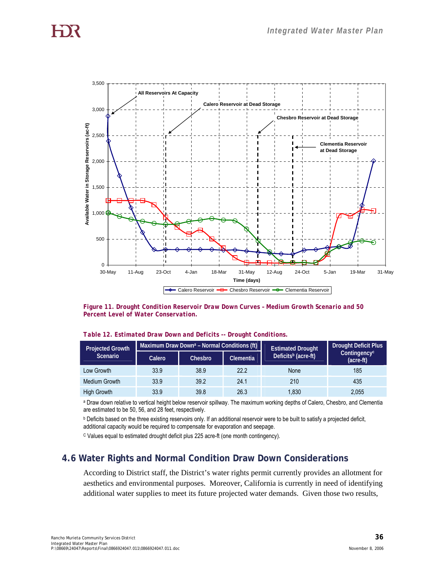

*Figure 11. Drought Condition Reservoir Draw Down Curves – Medium Growth Scenario and 50 Percent Level of Water Conservation.* 

| <b>Projected Growth</b> |        | Maximum Draw Down <sup>a</sup> – Normal Conditions (ft) |           | <b>Estimated Drought</b>        | <b>Drought Deficit Plus</b> |  |
|-------------------------|--------|---------------------------------------------------------|-----------|---------------------------------|-----------------------------|--|
| Scenario                | Calero | Chesbro                                                 | Clementia | Deficits <sup>b</sup> (acre-ft) | Contingencyc<br>(acre-ft)   |  |
| Low Growth              | 33.9   | 38.9                                                    | 22.2      | None                            | 185                         |  |
| Medium Growth           | 33.9   | 39.2                                                    | 24.1      | 210                             | 435                         |  |
| High Growth             | 33.9   | 39.8                                                    | 26.3      | 1,830                           | 2,055                       |  |

*Table 12. Estimated Draw Down and Deficits -- Drought Conditions.* 

a Draw down relative to vertical height below reservoir spillway. The maximum working depths of Calero, Chesbro, and Clementia are estimated to be 50, 56, and 28 feet, respectively.

**b** Deficits based on the three existing reservoirs only. If an additional reservoir were to be built to satisfy a projected deficit, additional capacity would be required to compensate for evaporation and seepage.

C Values equal to estimated drought deficit plus 225 acre-ft (one month contingency).

## **4.6 Water Rights and Normal Condition Draw Down Considerations**

According to District staff, the District's water rights permit currently provides an allotment for aesthetics and environmental purposes. Moreover, California is currently in need of identifying additional water supplies to meet its future projected water demands. Given those two results,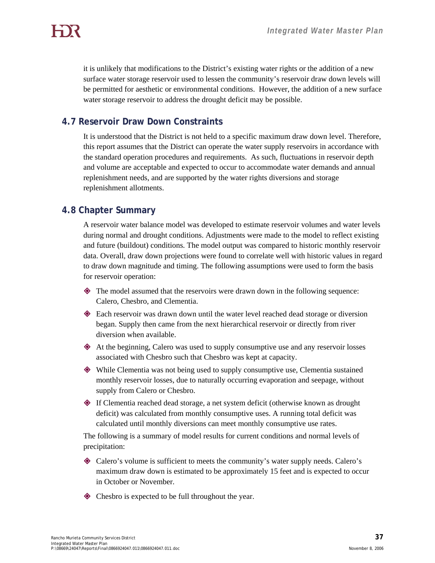it is unlikely that modifications to the District's existing water rights or the addition of a new surface water storage reservoir used to lessen the community's reservoir draw down levels will be permitted for aesthetic or environmental conditions. However, the addition of a new surface water storage reservoir to address the drought deficit may be possible.

## **4.7 Reservoir Draw Down Constraints**

It is understood that the District is not held to a specific maximum draw down level. Therefore, this report assumes that the District can operate the water supply reservoirs in accordance with the standard operation procedures and requirements. As such, fluctuations in reservoir depth and volume are acceptable and expected to occur to accommodate water demands and annual replenishment needs, and are supported by the water rights diversions and storage replenishment allotments.

## **4.8 Chapter Summary**

A reservoir water balance model was developed to estimate reservoir volumes and water levels during normal and drought conditions. Adjustments were made to the model to reflect existing and future (buildout) conditions. The model output was compared to historic monthly reservoir data. Overall, draw down projections were found to correlate well with historic values in regard to draw down magnitude and timing. The following assumptions were used to form the basis for reservoir operation:

- The model assumed that the reservoirs were drawn down in the following sequence: Calero, Chesbro, and Clementia.
- Each reservoir was drawn down until the water level reached dead storage or diversion began. Supply then came from the next hierarchical reservoir or directly from river diversion when available.
- At the beginning, Calero was used to supply consumptive use and any reservoir losses associated with Chesbro such that Chesbro was kept at capacity.
- While Clementia was not being used to supply consumptive use, Clementia sustained monthly reservoir losses, due to naturally occurring evaporation and seepage, without supply from Calero or Chesbro.
- If Clementia reached dead storage, a net system deficit (otherwise known as drought deficit) was calculated from monthly consumptive uses. A running total deficit was calculated until monthly diversions can meet monthly consumptive use rates.

The following is a summary of model results for current conditions and normal levels of precipitation:

- Calero's volume is sufficient to meets the community's water supply needs. Calero's maximum draw down is estimated to be approximately 15 feet and is expected to occur in October or November.
- $\diamond$  Chesbro is expected to be full throughout the year.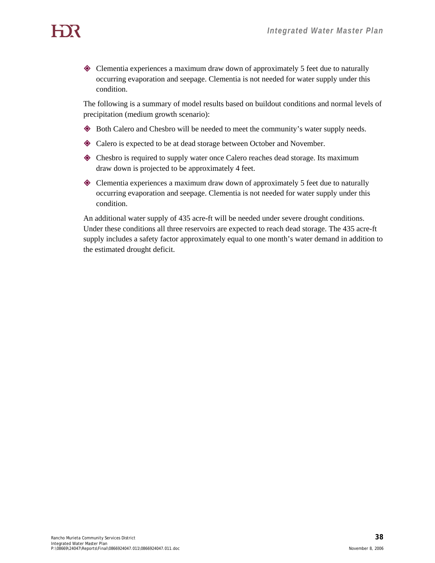Clementia experiences a maximum draw down of approximately 5 feet due to naturally occurring evaporation and seepage. Clementia is not needed for water supply under this condition.

The following is a summary of model results based on buildout conditions and normal levels of precipitation (medium growth scenario):

- Both Calero and Chesbro will be needed to meet the community's water supply needs.
- $\triangle$  Calero is expected to be at dead storage between October and November.
- Chesbro is required to supply water once Calero reaches dead storage. Its maximum draw down is projected to be approximately 4 feet.
- Clementia experiences a maximum draw down of approximately 5 feet due to naturally occurring evaporation and seepage. Clementia is not needed for water supply under this condition.

An additional water supply of 435 acre-ft will be needed under severe drought conditions. Under these conditions all three reservoirs are expected to reach dead storage. The 435 acre-ft supply includes a safety factor approximately equal to one month's water demand in addition to the estimated drought deficit.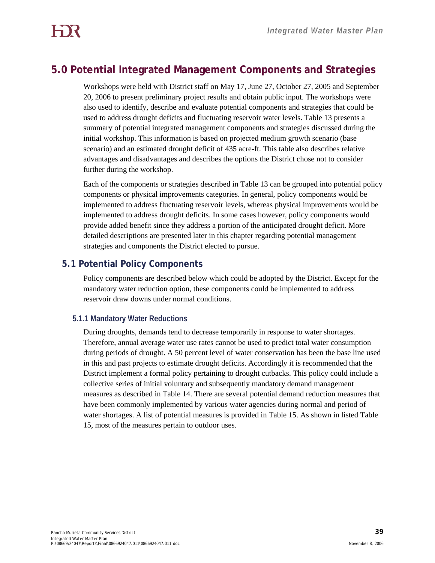## **5.0 Potential Integrated Management Components and Strategies**

Workshops were held with District staff on May 17, June 27, October 27, 2005 and September 20, 2006 to present preliminary project results and obtain public input. The workshops were also used to identify, describe and evaluate potential components and strategies that could be used to address drought deficits and fluctuating reservoir water levels. Table 13 presents a summary of potential integrated management components and strategies discussed during the initial workshop. This information is based on projected medium growth scenario (base scenario) and an estimated drought deficit of 435 acre-ft. This table also describes relative advantages and disadvantages and describes the options the District chose not to consider further during the workshop.

Each of the components or strategies described in Table 13 can be grouped into potential policy components or physical improvements categories. In general, policy components would be implemented to address fluctuating reservoir levels, whereas physical improvements would be implemented to address drought deficits. In some cases however, policy components would provide added benefit since they address a portion of the anticipated drought deficit. More detailed descriptions are presented later in this chapter regarding potential management strategies and components the District elected to pursue.

## **5.1 Potential Policy Components**

Policy components are described below which could be adopted by the District. Except for the mandatory water reduction option, these components could be implemented to address reservoir draw downs under normal conditions.

## **5.1.1 Mandatory Water Reductions**

During droughts, demands tend to decrease temporarily in response to water shortages. Therefore, annual average water use rates cannot be used to predict total water consumption during periods of drought. A 50 percent level of water conservation has been the base line used in this and past projects to estimate drought deficits. Accordingly it is recommended that the District implement a formal policy pertaining to drought cutbacks. This policy could include a collective series of initial voluntary and subsequently mandatory demand management measures as described in Table 14. There are several potential demand reduction measures that have been commonly implemented by various water agencies during normal and period of water shortages. A list of potential measures is provided in Table 15. As shown in listed Table 15, most of the measures pertain to outdoor uses.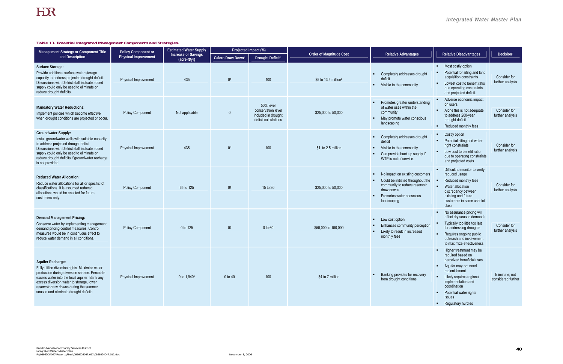## *Integrated Water Master Plan*

#### *Table 13. Potential Integrated Management Components and Strategies.*

| Management Strategy or Component Title                                                                                                                                                                                                                                                                | Policy Component or         | <b>Estimated Water Supply</b>              | Projected Impact (%)          |                                                                                |                                |                                                                                                                                                                |                                                                                                                                                                                                                                                |                                      |
|-------------------------------------------------------------------------------------------------------------------------------------------------------------------------------------------------------------------------------------------------------------------------------------------------------|-----------------------------|--------------------------------------------|-------------------------------|--------------------------------------------------------------------------------|--------------------------------|----------------------------------------------------------------------------------------------------------------------------------------------------------------|------------------------------------------------------------------------------------------------------------------------------------------------------------------------------------------------------------------------------------------------|--------------------------------------|
| and Description                                                                                                                                                                                                                                                                                       | <b>Physical Improvement</b> | <b>Increase or Savings</b><br>(acre-ft/yr) | Calero Draw Down <sup>a</sup> | Drought Deficit <sup>b</sup>                                                   | <b>Order of Magnitude Cost</b> | <b>Relative Advantages</b>                                                                                                                                     | <b>Relative Disadvantages</b>                                                                                                                                                                                                                  | Decision <sup>c</sup>                |
| Surface Storage:<br>Provide additional surface water storage<br>capacity to address projected drought deficit.<br>Discussions with District staff indicate added<br>supply could only be used to eliminate or<br>reduce drought deficits.                                                             | <b>Physical Improvement</b> | 435                                        | 0 <sup>d</sup>                | 100                                                                            | \$5 to 13.5 millione           | Completely addresses drought<br>deficit<br>Visible to the community<br>$\blacksquare$                                                                          | Most costly option<br>$\mathbf{u}$ .<br>Potential for siting and land<br>acquisition constraints<br>Lowest cost to benefit ratio<br>due operating constraints<br>and projected deficit.                                                        | Consider for<br>further analysis     |
| <b>Mandatory Water Reductions:</b><br>Implement policies which become effective<br>when drought conditions are projected or occur.                                                                                                                                                                    | <b>Policy Component</b>     | Not applicable                             | 0                             | 50% level<br>conservation level<br>included in drought<br>deficit calculations | \$25,000 to 50,000             | Promotes greater understanding<br>of water uses within the<br>community<br>May promote water conscious<br>landscaping                                          | Adverse economic impact<br>on users<br>Alone this is not adequate<br>to address 200-year<br>drought deficit<br>Reduced monthly fees                                                                                                            | Consider for<br>further analysis     |
| <b>Groundwater Supply:</b><br>Install groundwater wells with suitable capacity<br>to address projected drought deficit.<br>Discussions with District staff indicate added<br>supply could only be used to eliminate or<br>reduce drought deficits if groundwater recharge<br>is not provided.         | <b>Physical Improvement</b> | 435                                        | 0 <sup>d</sup>                | 100                                                                            | \$1 to 2.5 million             | Completely addresses drought<br>deficit<br>Visible to the community<br>$\blacksquare$<br>Can provide back up supply if<br>WTP is out of service.               | Costly option<br>Potential siting and water<br>right constraints<br>Low cost to benefit ratio<br>due to operating constraints<br>and projected costs                                                                                           | Consider for<br>further analysis     |
| <b>Reduced Water Allocation:</b><br>Reduce water allocations for all or specific lot<br>classifications. It is assumed reduced<br>allocations would be enacted for future<br>customers only.                                                                                                          | <b>Policy Component</b>     | 65 to 125                                  | 0 <sup>9</sup>                | 15 to 30                                                                       | \$25,000 to 50,000             | No impact on existing customers<br>Could be initiated throughout the<br>community to reduce reservoir<br>draw downs<br>Promotes water conscious<br>landscaping | Difficult to monitor to verify<br>reduced usage<br>Reduced monthly fees<br>Water allocation<br>discrepancy between<br>existing and future<br>customers in same user lot<br>class                                                               | Consider for<br>further analysis     |
| <b>Demand Management Pricing:</b><br>Conserve water by implementing management<br>demand pricing control measures. Control<br>measures would be in continuous effect to<br>reduce water demand in all conditions.                                                                                     | <b>Policy Component</b>     | 0 to 125                                   | 0 <sup>9</sup>                | 0 to 60                                                                        | \$50,000 to 100,000            | Low cost option<br>Enhances community perception<br>Likely to result in increased<br>monthly fees                                                              | No assurance pricing will<br>effect dry season demands<br>Typically too little too late<br>for addressing droughts<br>Requires ongoing public<br>outreach and involvement<br>to maximize effectiveness                                         | Consider for<br>further analysis     |
| Aquifer Recharge:<br>Fully utilize diversion rights. Maximize water<br>production during diversion season. Percolate<br>excess water into the local aquifer. Bank any<br>excess diversion water to storage, lower<br>reservoir draw downs during the summer<br>season and eliminate drought deficits. | <b>Physical Improvement</b> | 0 to 1,940h                                | 0 to 40                       | 100                                                                            | \$4 to 7 million               | Banking provides for recovery<br>from drought conditions                                                                                                       | Higher treatment may be<br>required based on<br>perceived beneficial uses<br>Aquifer may not need<br>replenishment<br>Likely requires regional<br>implementation and<br>coordination<br>Potential water rights<br>issues<br>Regulatory hurdles | Eliminate; not<br>considered further |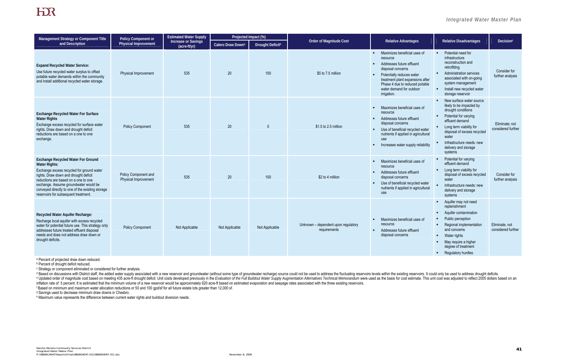## *Integrated Water Master Plan*

## HER

| Management Strategy or Component Title                                                                                                                                                                                                                                                                                               | <b>Policy Component or</b>                   | <b>Estimated Water Supply</b>              | Projected Impact (%)          |                         |                                                     |                                                                                                                                                                                                                                                                              |                                                                                                                                                                                                                                                                                                                 |                                      |
|--------------------------------------------------------------------------------------------------------------------------------------------------------------------------------------------------------------------------------------------------------------------------------------------------------------------------------------|----------------------------------------------|--------------------------------------------|-------------------------------|-------------------------|-----------------------------------------------------|------------------------------------------------------------------------------------------------------------------------------------------------------------------------------------------------------------------------------------------------------------------------------|-----------------------------------------------------------------------------------------------------------------------------------------------------------------------------------------------------------------------------------------------------------------------------------------------------------------|--------------------------------------|
| and Description                                                                                                                                                                                                                                                                                                                      | <b>Physical Improvement</b>                  | <b>Increase or Savings</b><br>(acre-ft/yr) | Calero Draw Down <sup>a</sup> | <b>Drought Deficitb</b> | <b>Order of Magnitude Cost</b>                      | <b>Relative Advantages</b>                                                                                                                                                                                                                                                   | <b>Relative Disadvantages</b>                                                                                                                                                                                                                                                                                   | Decision <sup>c</sup>                |
| <b>Expand Recycled Water Service:</b><br>Use future recycled water surplus to offset<br>potable water demands within the community<br>and install additional recycled water storage.                                                                                                                                                 | Physical Improvement                         | 535                                        | 20                            | 100                     | \$5 to 7.5 million                                  | Maximizes beneficial uses of<br>$\mathbf{R}$ .<br>resource<br>Addresses future effluent<br>$\blacksquare$<br>disposal concerns<br>Potentially reduces water<br>treatment plant expansions after<br>Phase 4 due to reduced potable<br>water demand for outdoor<br>irrigation. | Potential need for<br>$\mathbf{u} \in \mathbb{R}^n$<br>infrastructure<br>reconstruction and<br>retrofitting<br><b>Administration services</b><br>associated with on-going<br>system management<br>Install new recycled water<br>$\mathbf{R}^{\prime}$<br>storage reservoir                                      | Consider for<br>further analysis     |
| <b>Exchange Recycled Water For Surface</b><br><b>Water Rights</b><br>Exchange excess recycled for surface water<br>rights. Draw down and drought deficit<br>reductions are based on a one to one<br>exchange.                                                                                                                        | <b>Policy Component</b>                      | 535                                        | 20                            | $\Omega$                | \$1.5 to 2.5 million                                | Maximizes beneficial uses of<br>resource<br>Addresses future effluent<br>$\mathbf{u}$ .<br>disposal concerns<br>Use of beneficial recycled water<br>٠<br>nutrients if applied in agricultural<br>use<br>Increases water supply reliability<br>$\blacksquare$                 | • New surface water source<br>likely to be impacted by<br>drought conditions<br>Potential for varying<br>$\blacksquare$<br>effluent demand<br>Long term viability for<br>$\mathbf{r}$<br>disposal of excess recycled<br>water<br>Infrastructure needs: new<br>$\blacksquare$<br>delivery and storage<br>systems | Eliminate: not<br>considered further |
| <b>Exchange Recycled Water For Ground</b><br><b>Water Rights:</b><br>Exchange excess recycled for ground water<br>rights. Draw down and drought deficit<br>reductions are based on a one to one<br>exchange. Assume groundwater would be<br>conveyed directly to one of the existing storage<br>reservoirs for subsequent treatment. | Policy Component and<br>Physical Improvement | 535                                        | 20                            | 100                     | \$2 to 4 million                                    | Maximizes beneficial uses of<br>$\blacksquare$<br>resource<br>Addresses future effluent<br>$\blacksquare$<br>disposal concerns<br>Use of beneficial recycled water<br>$\blacksquare$<br>nutrients if applied in agricultural<br>use                                          | Potential for varying<br>effluent demand<br>Long term viability for<br>disposal of excess recycled<br>water<br>Infrastructure needs: new<br>delivery and storage<br>systems                                                                                                                                     | Consider for<br>further analysis     |
| Recycled Water Aquifer Recharge:<br>Recharge local aquifer with excess recycled<br>water for potential future use. This strategy only<br>addresses future treated effluent disposal<br>needs and does not address draw down or<br>drought deficits.                                                                                  | <b>Policy Component</b>                      | Not Applicable                             | Not Applicable                | Not Applicable          | Unknown - dependent upon regulatory<br>requirements | Maximizes beneficial uses of<br>resource<br>Addresses future effluent<br>$\mathbf{r}$<br>disposal concerns                                                                                                                                                                   | Aquifer may not need<br>$\blacksquare$<br>replenishment<br>Aquifer contamination<br>Public perception<br>Regional implementation<br>and concerns<br>Water rights<br>$\blacksquare$<br>May require a higher<br>degree of treatment<br>• Regulatory hurdles                                                       | Eliminate: not<br>considered further |

<sup>a</sup> Percent of projected draw down reduced.

<sup>d</sup> Based on discussions with District staff, the added water supply associated with a new reservoir and groundwater (without some type of groundwater recharge) source could not be used to address the fluctuating reservoir e Updated order of magnitude cost based on meeting 435 acre-ft drought deficit. Unit costs developed previously in the Evaluation of the Full Buildout Water Supply Augmentation Alternatives Technical Memorandum were used a inflation rate of 5 percent. It is estimated that the minimum volume of a new reservoir would be approximately 620 acre-ft based on estimated evaporation and seepage rates associated with the three existing reservoirs. f Based on minimum and maximum water allocation reductions or 50 and 100 gpd/sf for all future estate lots greater than 12,000 sf.

<sup>g</sup> Savings used to decrease minimum draw downs in Chesbro.

h Maximum value represents the difference between current water rights and buildout diversion needs.

b Percent of drought deficit reduced.

c Strategy or component eliminated or considered for further analysis.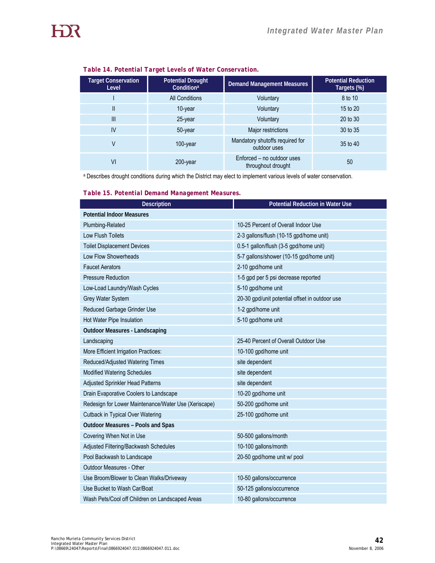| <b>Target Conservation</b><br>Level | <b>Potential Drought</b><br>Condition <sup>a</sup> | <b>Demand Management Measures</b>                | <b>Potential Reduction</b><br>Targets (%) |
|-------------------------------------|----------------------------------------------------|--------------------------------------------------|-------------------------------------------|
|                                     | <b>All Conditions</b>                              | Voluntary                                        | 8 to 10                                   |
| $\mathbf{I}$                        | 10-year                                            | Voluntary                                        | 15 to 20                                  |
| III                                 | 25-year                                            | Voluntary                                        | 20 to 30                                  |
| IV                                  | 50-year                                            | Major restrictions                               | 30 to 35                                  |
| V                                   | 100-year                                           | Mandatory shutoffs required for<br>outdoor uses  | 35 to 40                                  |
| VI                                  | 200-year                                           | Enforced – no outdoor uses<br>throughout drought | 50                                        |

#### *Table 14. Potential Target Levels of Water Conservation.*

a Describes drought conditions during which the District may elect to implement various levels of water conservation.

|  |  | Table 15. Potential Demand Management Measures. |  |
|--|--|-------------------------------------------------|--|
|  |  |                                                 |  |

| <b>Description</b>                                   | <b>Potential Reduction in Water Use</b>        |
|------------------------------------------------------|------------------------------------------------|
| <b>Potential Indoor Measures</b>                     |                                                |
| Plumbing-Related                                     | 10-25 Percent of Overall Indoor Use            |
| <b>Low Flush Toilets</b>                             | 2-3 gallons/flush (10-15 gpd/home unit)        |
| <b>Toilet Displacement Devices</b>                   | 0.5-1 gallon/flush (3-5 gpd/home unit)         |
| Low Flow Showerheads                                 | 5-7 gallons/shower (10-15 gpd/home unit)       |
| <b>Faucet Aerators</b>                               | 2-10 gpd/home unit                             |
| <b>Pressure Reduction</b>                            | 1-5 gpd per 5 psi decrease reported            |
| Low-Load Laundry/Wash Cycles                         | 5-10 gpd/home unit                             |
| Grey Water System                                    | 20-30 gpd/unit potential offset in outdoor use |
| Reduced Garbage Grinder Use                          | 1-2 gpd/home unit                              |
| Hot Water Pipe Insulation                            | 5-10 gpd/home unit                             |
| <b>Outdoor Measures - Landscaping</b>                |                                                |
| Landscaping                                          | 25-40 Percent of Overall Outdoor Use           |
| More Efficient Irrigation Practices:                 | 10-100 gpd/home unit                           |
| Reduced/Adjusted Watering Times                      | site dependent                                 |
| <b>Modified Watering Schedules</b>                   | site dependent                                 |
| <b>Adjusted Sprinkler Head Patterns</b>              | site dependent                                 |
| Drain Evaporative Coolers to Landscape               | 10-20 gpd/home unit                            |
| Redesign for Lower Maintenance/Water Use (Xeriscape) | 50-200 gpd/home unit                           |
| Cutback in Typical Over Watering                     | 25-100 gpd/home unit                           |
| <b>Outdoor Measures - Pools and Spas</b>             |                                                |
| Covering When Not in Use                             | 50-500 gallons/month                           |
| Adjusted Filtering/Backwash Schedules                | 10-100 gallons/month                           |
| Pool Backwash to Landscape                           | 20-50 gpd/home unit w/ pool                    |
| <b>Outdoor Measures - Other</b>                      |                                                |
| Use Broom/Blower to Clean Walks/Driveway             | 10-50 gallons/occurrence                       |
| Use Bucket to Wash Car/Boat                          | 50-125 gallons/occurrence                      |
| Wash Pets/Cool off Children on Landscaped Areas      | 10-80 gallons/occurrence                       |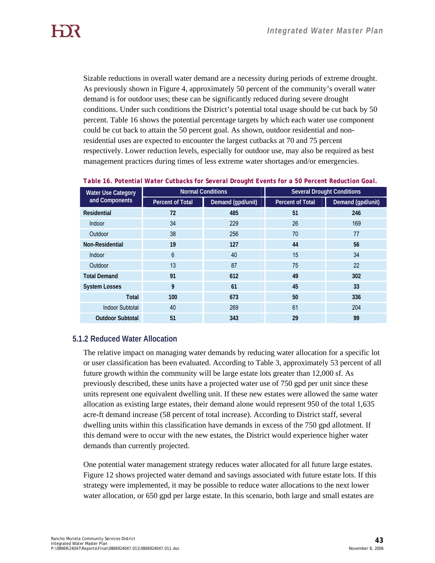Sizable reductions in overall water demand are a necessity during periods of extreme drought. As previously shown in Figure 4, approximately 50 percent of the community's overall water demand is for outdoor uses; these can be significantly reduced during severe drought conditions. Under such conditions the District's potential total usage should be cut back by 50 percent. Table 16 shows the potential percentage targets by which each water use component could be cut back to attain the 50 percent goal. As shown, outdoor residential and nonresidential uses are expected to encounter the largest cutbacks at 70 and 75 percent respectively. Lower reduction levels, especially for outdoor use, may also be required as best management practices during times of less extreme water shortages and/or emergencies.

| <b>Water Use Category</b> |                  | <b>Normal Conditions</b> | <b>Several Drought Conditions</b> |                   |  |
|---------------------------|------------------|--------------------------|-----------------------------------|-------------------|--|
| and Components            | Percent of Total | Demand (gpd/unit)        | <b>Percent of Total</b>           | Demand (gpd/unit) |  |
| Residential               | 72               | 485                      | 51                                | 246               |  |
| Indoor                    | 34               | 229                      | 26                                | 169               |  |
| Outdoor                   | 38               | 256                      | 70                                | 77                |  |
| Non-Residential           | 19               | 127                      | 44                                | 56                |  |
| Indoor                    | $6\phantom{1}$   | 40                       | 15                                | 34                |  |
| Outdoor                   | 13               | 87                       | 75                                | 22                |  |
| <b>Total Demand</b>       | 91               | 612                      | 49                                | 302               |  |
| <b>System Losses</b>      | 9                | 61                       | 45                                | 33                |  |
| <b>Total</b>              | 100              | 673                      | 50                                | 336               |  |
| <b>Indoor Subtotal</b>    | 40               | 269                      | 61                                | 204               |  |
| <b>Outdoor Subtotal</b>   | 51               | 343                      | 29                                | 99                |  |

|  | Table 16. Potential Water Cutbacks for Several Drought Events for a 50 Percent Reduction Goal. |
|--|------------------------------------------------------------------------------------------------|
|  |                                                                                                |

#### **5.1.2 Reduced Water Allocation**

The relative impact on managing water demands by reducing water allocation for a specific lot or user classification has been evaluated. According to Table 3, approximately 53 percent of all future growth within the community will be large estate lots greater than 12,000 sf. As previously described, these units have a projected water use of 750 gpd per unit since these units represent one equivalent dwelling unit. If these new estates were allowed the same water allocation as existing large estates, their demand alone would represent 950 of the total 1,635 acre-ft demand increase (58 percent of total increase). According to District staff, several dwelling units within this classification have demands in excess of the 750 gpd allotment. If this demand were to occur with the new estates, the District would experience higher water demands than currently projected.

One potential water management strategy reduces water allocated for all future large estates. Figure 12 shows projected water demand and savings associated with future estate lots. If this strategy were implemented, it may be possible to reduce water allocations to the next lower water allocation, or 650 gpd per large estate. In this scenario, both large and small estates are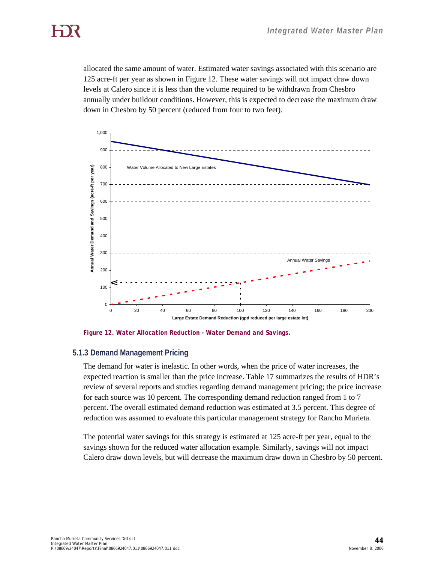allocated the same amount of water. Estimated water savings associated with this scenario are 125 acre-ft per year as shown in Figure 12. These water savings will not impact draw down levels at Calero since it is less than the volume required to be withdrawn from Chesbro annually under buildout conditions. However, this is expected to decrease the maximum draw down in Chesbro by 50 percent (reduced from four to two feet).



*Figure 12. Water Allocation Reduction - Water Demand and Savings.* 

#### **5.1.3 Demand Management Pricing**

The demand for water is inelastic. In other words, when the price of water increases, the expected reaction is smaller than the price increase. Table 17 summarizes the results of HDR's review of several reports and studies regarding demand management pricing; the price increase for each source was 10 percent. The corresponding demand reduction ranged from 1 to 7 percent. The overall estimated demand reduction was estimated at 3.5 percent. This degree of reduction was assumed to evaluate this particular management strategy for Rancho Murieta.

The potential water savings for this strategy is estimated at 125 acre-ft per year, equal to the savings shown for the reduced water allocation example. Similarly, savings will not impact Calero draw down levels, but will decrease the maximum draw down in Chesbro by 50 percent.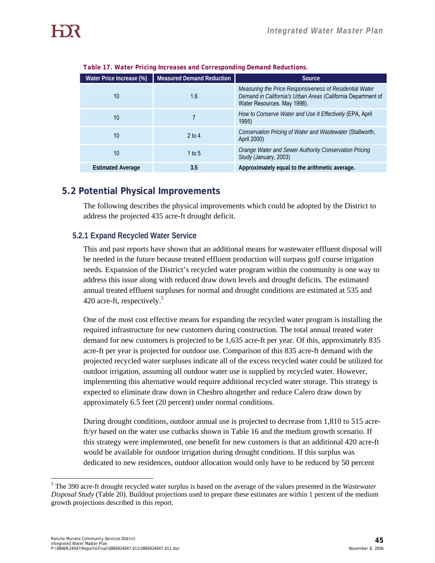| Water Price Increase (%) | <b>Measured Demand Reduction</b> | Source                                                                                                                                                 |
|--------------------------|----------------------------------|--------------------------------------------------------------------------------------------------------------------------------------------------------|
| 10                       | 1.6                              | Measuring the Price Responsiveness of Residential Water<br>Demand in California's Urban Areas (California Department of<br>Water Resources. May 1998). |
| 10                       |                                  | How to Conserve Water and Use It Effectively (EPA, April<br>1995)                                                                                      |
| 10                       | $2$ to 4                         | Conservation Pricing of Water and Wastewater (Stallworth,<br>April 2000)                                                                               |
| 10                       | 1 to 5                           | Orange Water and Sewer Authority Conservation Pricing<br>Study (January, 2003)                                                                         |
| <b>Estimated Average</b> | 3.5                              | Approximately equal to the arithmetic average.                                                                                                         |

*Table 17. Water Pricing Increases and Corresponding Demand Reductions.* 

## **5.2 Potential Physical Improvements**

The following describes the physical improvements which could be adopted by the District to address the projected 435 acre-ft drought deficit.

#### **5.2.1 Expand Recycled Water Service**

This and past reports have shown that an additional means for wastewater effluent disposal will be needed in the future because treated effluent production will surpass golf course irrigation needs. Expansion of the District's recycled water program within the community is one way to address this issue along with reduced draw down levels and drought deficits. The estimated annual treated effluent surpluses for normal and drought conditions are estimated at 535 and 420 acre-ft, respectively.<sup>5</sup>

One of the most cost effective means for expanding the recycled water program is installing the required infrastructure for new customers during construction. The total annual treated water demand for new customers is projected to be 1,635 acre-ft per year. Of this, approximately 835 acre-ft per year is projected for outdoor use. Comparison of this 835 acre-ft demand with the projected recycled water surpluses indicate all of the excess recycled water could be utilized for outdoor irrigation, assuming all outdoor water use is supplied by recycled water. However, implementing this alternative would require additional recycled water storage. This strategy is expected to eliminate draw down in Chesbro altogether and reduce Calero draw down by approximately 6.5 feet (20 percent) under normal conditions.

During drought conditions, outdoor annual use is projected to decrease from 1,810 to 515 acreft/yr based on the water use cutbacks shown in Table 16 and the medium growth scenario. If this strategy were implemented, one benefit for new customers is that an additional 420 acre-ft would be available for outdoor irrigation during drought conditions. If this surplus was dedicated to new residences, outdoor allocation would only have to be reduced by 50 percent

 $\overline{a}$ 

<sup>5</sup> The 390 acre-ft drought recycled water surplus is based on the average of the values presented in the *Wastewater Disposal Study* (Table 20). Buildout projections used to prepare these estimates are within 1 percent of the medium growth projections described in this report.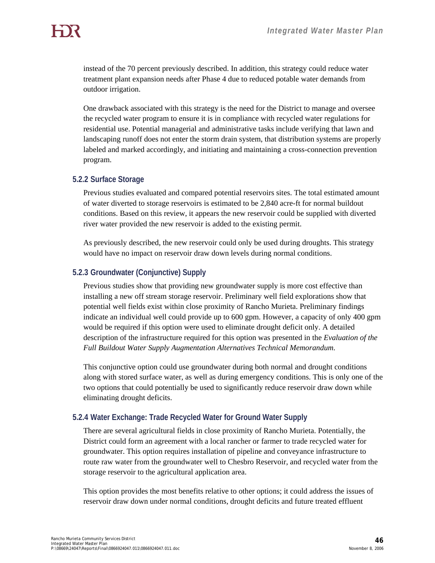instead of the 70 percent previously described. In addition, this strategy could reduce water treatment plant expansion needs after Phase 4 due to reduced potable water demands from outdoor irrigation.

One drawback associated with this strategy is the need for the District to manage and oversee the recycled water program to ensure it is in compliance with recycled water regulations for residential use. Potential managerial and administrative tasks include verifying that lawn and landscaping runoff does not enter the storm drain system, that distribution systems are properly labeled and marked accordingly, and initiating and maintaining a cross-connection prevention program.

#### **5.2.2 Surface Storage**

Previous studies evaluated and compared potential reservoirs sites. The total estimated amount of water diverted to storage reservoirs is estimated to be 2,840 acre-ft for normal buildout conditions. Based on this review, it appears the new reservoir could be supplied with diverted river water provided the new reservoir is added to the existing permit.

As previously described, the new reservoir could only be used during droughts. This strategy would have no impact on reservoir draw down levels during normal conditions.

#### **5.2.3 Groundwater (Conjunctive) Supply**

Previous studies show that providing new groundwater supply is more cost effective than installing a new off stream storage reservoir. Preliminary well field explorations show that potential well fields exist within close proximity of Rancho Murieta. Preliminary findings indicate an individual well could provide up to 600 gpm. However, a capacity of only 400 gpm would be required if this option were used to eliminate drought deficit only. A detailed description of the infrastructure required for this option was presented in the *Evaluation of the Full Buildout Water Supply Augmentation Alternatives Technical Memorandum*.

This conjunctive option could use groundwater during both normal and drought conditions along with stored surface water, as well as during emergency conditions. This is only one of the two options that could potentially be used to significantly reduce reservoir draw down while eliminating drought deficits.

## **5.2.4 Water Exchange: Trade Recycled Water for Ground Water Supply**

There are several agricultural fields in close proximity of Rancho Murieta. Potentially, the District could form an agreement with a local rancher or farmer to trade recycled water for groundwater. This option requires installation of pipeline and conveyance infrastructure to route raw water from the groundwater well to Chesbro Reservoir, and recycled water from the storage reservoir to the agricultural application area.

This option provides the most benefits relative to other options; it could address the issues of reservoir draw down under normal conditions, drought deficits and future treated effluent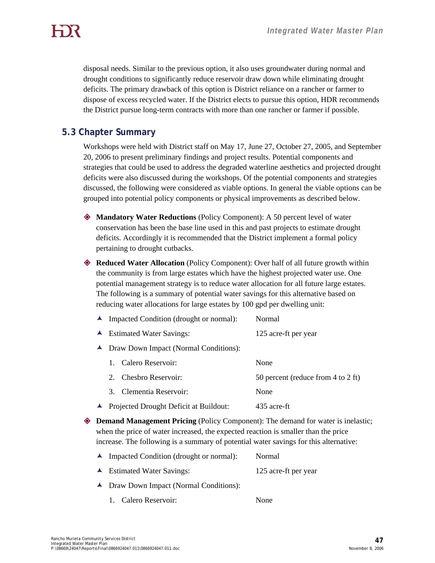disposal needs. Similar to the previous option, it also uses groundwater during normal and drought conditions to significantly reduce reservoir draw down while eliminating drought deficits. The primary drawback of this option is District reliance on a rancher or farmer to dispose of excess recycled water. If the District elects to pursue this option, HDR recommends the District pursue long-term contracts with more than one rancher or farmer if possible.

## **5.3 Chapter Summary**

Workshops were held with District staff on May 17, June 27, October 27, 2005, and September 20, 2006 to present preliminary findings and project results. Potential components and strategies that could be used to address the degraded waterline aesthetics and projected drought deficits were also discussed during the workshops. Of the potential components and strategies discussed, the following were considered as viable options. In general the viable options can be grouped into potential policy components or physical improvements as described below.

 **Mandatory Water Reductions** (Policy Component): A 50 percent level of water conservation has been the base line used in this and past projects to estimate drought deficits. Accordingly it is recommended that the District implement a formal policy pertaining to drought cutbacks.

 **Reduced Water Allocation** (Policy Component): Over half of all future growth within the community is from large estates which have the highest projected water use. One potential management strategy is to reduce water allocation for all future large estates. The following is a summary of potential water savings for this alternative based on reducing water allocations for large estates by 100 gpd per dwelling unit:

- È Impacted Condition (drought or normal): Normal
- ▲ Estimated Water Savings: 125 acre-ft per year
- È Draw Down Impact (Normal Conditions):

| 1. Calero Reservoir:                     | None                               |
|------------------------------------------|------------------------------------|
| 2. Chesbro Reservoir:                    | 50 percent (reduce from 4 to 2 ft) |
| 3. Clementia Reservoir:                  | None                               |
| ▲ Projected Drought Deficit at Buildout: | 435 acre-ft                        |

 **Demand Management Pricing** (Policy Component): The demand for water is inelastic; when the price of water increased, the expected reaction is smaller than the price increase. The following is a summary of potential water savings for this alternative:

| $\blacktriangle$ Impacted Condition (drought or normal): | Normal               |
|----------------------------------------------------------|----------------------|
| $\blacktriangle$ Estimated Water Savings:                | 125 acre-ft per year |
| • Draw Down Impact (Normal Conditions):                  |                      |

1. Calero Reservoir: None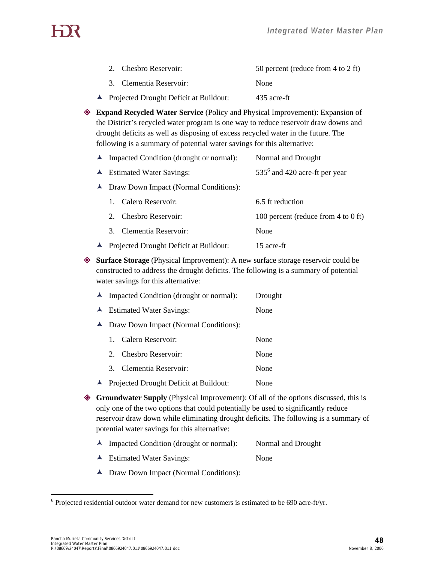| 2. Chesbro Reservoir:                    | 50 percent (reduce from 4 to 2 ft) |
|------------------------------------------|------------------------------------|
| 3. Clementia Reservoir:                  | None                               |
| ▲ Projected Drought Deficit at Buildout: | 435 acre-ft                        |

 **Expand Recycled Water Service** (Policy and Physical Improvement): Expansion of the District's recycled water program is one way to reduce reservoir draw downs and drought deficits as well as disposing of excess recycled water in the future. The following is a summary of potential water savings for this alternative:

| $\blacktriangle$ Impacted Condition (drought or normal): | Normal and Drought                  |  |  |  |  |  |
|----------------------------------------------------------|-------------------------------------|--|--|--|--|--|
| $\blacktriangle$ Estimated Water Savings:                | $5356$ and 420 acre-ft per year     |  |  |  |  |  |
| ▲ Draw Down Impact (Normal Conditions):                  |                                     |  |  |  |  |  |
| 1. Calero Reservoir:                                     | 6.5 ft reduction                    |  |  |  |  |  |
| 2. Chesbro Reservoir:                                    | 100 percent (reduce from 4 to 0 ft) |  |  |  |  |  |
| 3. Clementia Reservoir:                                  | None                                |  |  |  |  |  |
| ▲ Projected Drought Deficit at Buildout:                 | 15 acre-ft                          |  |  |  |  |  |

 **Surface Storage** (Physical Improvement): A new surface storage reservoir could be constructed to address the drought deficits. The following is a summary of potential water savings for this alternative:

|                  | $\blacktriangle$ Impacted Condition (drought or normal):<br>Drought |                      |      |  |  |  |  |  |  |
|------------------|---------------------------------------------------------------------|----------------------|------|--|--|--|--|--|--|
|                  | $\blacktriangle$ Estimated Water Savings:                           | None                 |      |  |  |  |  |  |  |
| $\blacktriangle$ | Draw Down Impact (Normal Conditions):                               |                      |      |  |  |  |  |  |  |
|                  | $\mathbf{1}$                                                        | Calero Reservoir:    | None |  |  |  |  |  |  |
|                  | 2.                                                                  | Chesbro Reservoir:   | None |  |  |  |  |  |  |
|                  | 3                                                                   | Clementia Reservoir: | None |  |  |  |  |  |  |
| $\blacktriangle$ | Projected Drought Deficit at Buildout:                              | None                 |      |  |  |  |  |  |  |

 **Groundwater Supply** (Physical Improvement): Of all of the options discussed, this is only one of the two options that could potentially be used to significantly reduce reservoir draw down while eliminating drought deficits. The following is a summary of potential water savings for this alternative:

- ▲ Impacted Condition (drought or normal): Normal and Drought
- ▲ Estimated Water Savings: None
- È Draw Down Impact (Normal Conditions):

 $\overline{a}$ 

 $6$  Projected residential outdoor water demand for new customers is estimated to be 690 acre-ft/yr.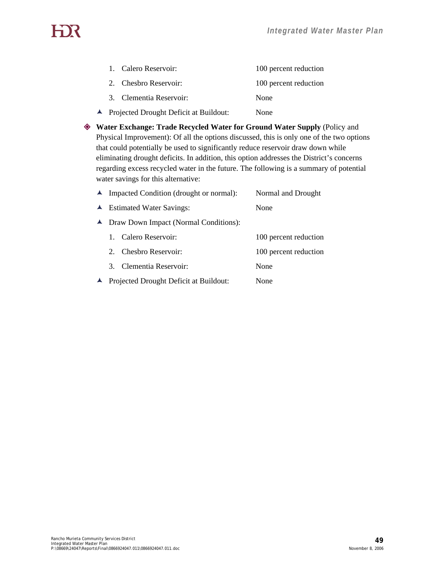# HX

| ▲ Projected Drought Deficit at Buildout: |                         | None                  |
|------------------------------------------|-------------------------|-----------------------|
|                                          | 3. Clementia Reservoir: | None                  |
|                                          | 2. Chesbro Reservoir:   | 100 percent reduction |
|                                          | 1. Calero Reservoir:    | 100 percent reduction |

 **Water Exchange: Trade Recycled Water for Ground Water Supply** (Policy and Physical Improvement): Of all the options discussed, this is only one of the two options that could potentially be used to significantly reduce reservoir draw down while eliminating drought deficits. In addition, this option addresses the District's concerns regarding excess recycled water in the future. The following is a summary of potential water savings for this alternative:

|               | ▲ Impacted Condition (drought or normal): | Normal and Drought    |
|---------------|-------------------------------------------|-----------------------|
|               | $\blacktriangle$ Estimated Water Savings: | None                  |
|               | ▲ Draw Down Impact (Normal Conditions):   |                       |
| 1             | Calero Reservoir:                         | 100 percent reduction |
| $\mathcal{D}$ | Chesbro Reservoir:                        | 100 percent reduction |
| $\mathcal{E}$ | Clementia Reservoir:                      | None                  |
|               | ▲ Projected Drought Deficit at Buildout:  | None                  |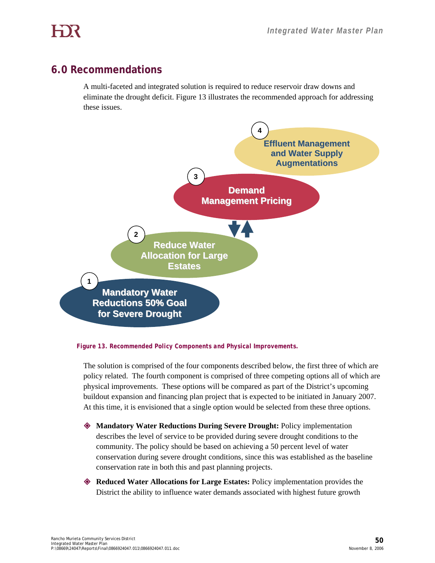## **6.0 Recommendations**

A multi-faceted and integrated solution is required to reduce reservoir draw downs and eliminate the drought deficit. Figure 13 illustrates the recommended approach for addressing these issues.



*Figure 13. Recommended Policy Components and Physical Improvements.* 

The solution is comprised of the four components described below, the first three of which are policy related. The fourth component is comprised of three competing options all of which are physical improvements. These options will be compared as part of the District's upcoming buildout expansion and financing plan project that is expected to be initiated in January 2007. At this time, it is envisioned that a single option would be selected from these three options.

- **Mandatory Water Reductions During Severe Drought:** Policy implementation describes the level of service to be provided during severe drought conditions to the community. The policy should be based on achieving a 50 percent level of water conservation during severe drought conditions, since this was established as the baseline conservation rate in both this and past planning projects.
- **Reduced Water Allocations for Large Estates:** Policy implementation provides the District the ability to influence water demands associated with highest future growth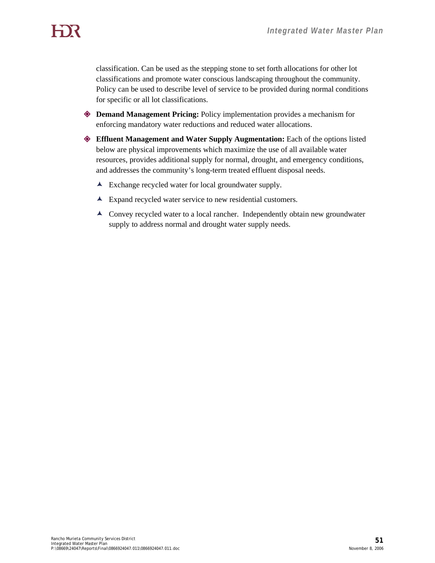classification. Can be used as the stepping stone to set forth allocations for other lot classifications and promote water conscious landscaping throughout the community. Policy can be used to describe level of service to be provided during normal conditions for specific or all lot classifications.

- **Demand Management Pricing:** Policy implementation provides a mechanism for enforcing mandatory water reductions and reduced water allocations.
- **Effluent Management and Water Supply Augmentation:** Each of the options listed below are physical improvements which maximize the use of all available water resources, provides additional supply for normal, drought, and emergency conditions, and addresses the community's long-term treated effluent disposal needs.
	- $\blacktriangle$  Exchange recycled water for local groundwater supply.
	- $\blacktriangle$  Expand recycled water service to new residential customers.
	- È Convey recycled water to a local rancher. Independently obtain new groundwater supply to address normal and drought water supply needs.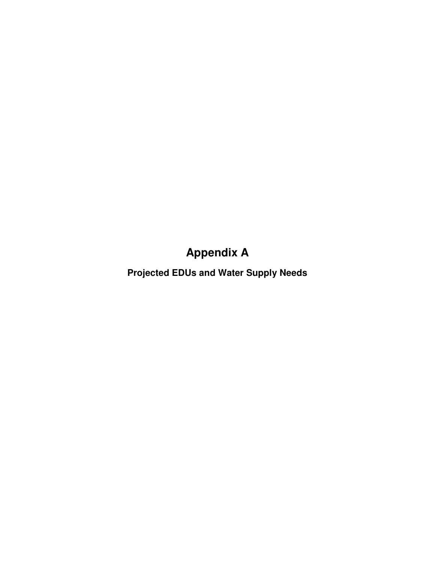## **Appendix A**

**Projected EDUs and Water Supply Needs**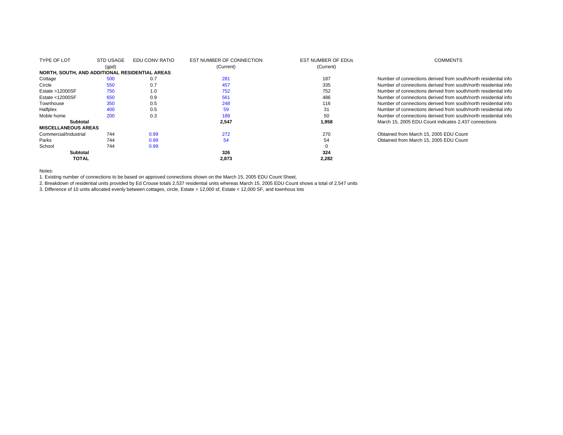| <b>TYPE OF LOT</b>                             | STD USAGE<br>(gpd) | EDU CONV RATIO | EST NUMBER OF CONNECTION<br>(Current) | <b>EST NUMBER OF EDUS</b><br>(Current) | <b>COMMENTS</b>                                                 |
|------------------------------------------------|--------------------|----------------|---------------------------------------|----------------------------------------|-----------------------------------------------------------------|
| NORTH, SOUTH, AND ADDITIONAL RESIDENTIAL AREAS |                    |                |                                       |                                        |                                                                 |
| Cottage                                        | 500                | 0.7            | 281                                   | 187                                    | Number of connections derived from south/north residential info |
| Circle                                         | 550                | 0.7            | 457                                   | 335                                    | Number of connections derived from south/north residential info |
| Estate > 12000SF                               | 750                | 1.0            | 752                                   | 752                                    | Number of connections derived from south/north residential info |
| Estate $<$ 12000SF                             | 650                | 0.9            | 561                                   | 486                                    | Number of connections derived from south/north residential info |
| Townhouse                                      | 350                | 0.5            | 248                                   | 116                                    | Number of connections derived from south/north residential info |
| Halfplex                                       | 400                | 0.5            | 59                                    | 31                                     | Number of connections derived from south/north residential info |
| Moble home                                     | 200                | 0.3            | 189                                   | 50                                     | Number of connections derived from south/north residential info |
| <b>Subtotal</b>                                |                    |                | 2,547                                 | 1,958                                  | March 15, 2005 EDU Count indicates 2,437 connections            |
| <b>MISCELLANEOUS AREAS</b>                     |                    |                |                                       |                                        |                                                                 |
| Commercial/Industrial                          | 744                | 0.99           | 272                                   | 270                                    | Obtained from March 15, 2005 EDU Count                          |
| Parks                                          | 744                | 0.99           | 54                                    | 54                                     | Obtained from March 15, 2005 EDU Count                          |
| School                                         | 744                | 0.99           |                                       |                                        |                                                                 |
| <b>Subtotal</b>                                |                    |                | 326                                   | 324                                    |                                                                 |
| <b>TOTAL</b>                                   |                    |                | 2.873                                 | 2,282                                  |                                                                 |

Notes:

1. Existing number of connections to be based on approved connections shown on the March 15, 2005 EDU Count Sheet.

2. Breakdown of residential units provided by Ed Crouse totals 2,537 residential units whereas March 15, 2005 EDU Count shows a total of 2,547 units

3. Difference of 10 units allocated evenly between cottages, circle, Estate > 12,000 sf, Estate < 12,000 SF, and townhous lots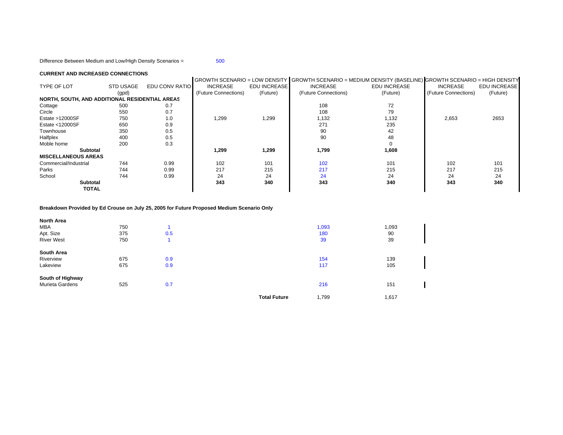Difference Between Medium and Low/High Density Scenarios = 500

#### **CURRENT AND INCREASED CONNECTIONS**

|                                                |                  |                |                      |                     | GROWTH SCENARIO = LOW DENSITY   GROWTH SCENARIO = MEDIUM DENSITY (BASELINE)  GROWTH SCENARIO = HIGH DENSITY |                     |                      |                     |
|------------------------------------------------|------------------|----------------|----------------------|---------------------|-------------------------------------------------------------------------------------------------------------|---------------------|----------------------|---------------------|
| <b>TYPE OF LOT</b>                             | <b>STD USAGE</b> | EDU CONV RATIO | <b>INCREASE</b>      | <b>EDU INCREASE</b> | <b>INCREASE</b>                                                                                             | <b>EDU INCREASE</b> | <b>INCREASE</b>      | <b>EDU INCREASE</b> |
|                                                | (gpd)            |                | (Future Connections) | (Future)            | (Future Connections)                                                                                        | (Future)            | (Future Connections) | (Future)            |
| NORTH, SOUTH, AND ADDITIONAL RESIDENTIAL AREAS |                  |                |                      |                     |                                                                                                             |                     |                      |                     |
| Cottage                                        | 500              | 0.7            |                      |                     | 108                                                                                                         | 72                  |                      |                     |
| Circle                                         | 550              | 0.7            |                      |                     | 108                                                                                                         | 79                  |                      |                     |
| Estate >12000SF                                | 750              | 1.0            | 1,299                | 1,299               | 1,132                                                                                                       | 1,132               | 2,653                | 2653                |
| Estate <12000SF                                | 650              | 0.9            |                      |                     | 271                                                                                                         | 235                 |                      |                     |
| Townhouse                                      | 350              | 0.5            |                      |                     | 90                                                                                                          | 42                  |                      |                     |
| Halfplex                                       | 400              | 0.5            |                      |                     | 90                                                                                                          | 48                  |                      |                     |
| Moble home                                     | 200              | 0.3            |                      |                     |                                                                                                             |                     |                      |                     |
| <b>Subtotal</b>                                |                  |                | 1,299                | 1,299               | 1,799                                                                                                       | 1,608               |                      |                     |
| <b>MISCELLANEOUS AREAS</b>                     |                  |                |                      |                     |                                                                                                             |                     |                      |                     |
| Commercial/Industrial                          | 744              | 0.99           | 102                  | 101                 | 102                                                                                                         | 101                 | 102                  | 101                 |
| Parks                                          | 744              | 0.99           | 217                  | 215                 | 217                                                                                                         | 215                 | 217                  | 215                 |
| School                                         | 744              | 0.99           | 24                   | 24                  | 24                                                                                                          | 24                  | 24                   | 24                  |
| <b>Subtotal</b>                                |                  |                | 343                  | 340                 | 343                                                                                                         | 340                 | 343                  | 340                 |
| <b>TOTAL</b>                                   |                  |                |                      |                     |                                                                                                             |                     |                      |                     |

#### **Breakdown Provided by Ed Crouse on July 25, 2005 for Future Proposed Medium Scenario Only**

| <b>North Area</b> |     |     |                     |       |       |  |
|-------------------|-----|-----|---------------------|-------|-------|--|
| <b>MBA</b>        | 750 |     |                     | 1,093 | 1,093 |  |
| Apt. Size         | 375 | 0.5 |                     | 180   | 90    |  |
| <b>River West</b> | 750 |     |                     | 39    | 39    |  |
| South Area        |     |     |                     |       |       |  |
| Riverview         | 675 | 0.9 |                     | 154   | 139   |  |
| Lakeview          | 675 | 0.9 |                     | 117   | 105   |  |
| South of Highway  |     |     |                     |       |       |  |
| Murieta Gardens   | 525 | 0.7 |                     | 216   | 151   |  |
|                   |     |     | <b>Total Future</b> | 1,799 | 1,617 |  |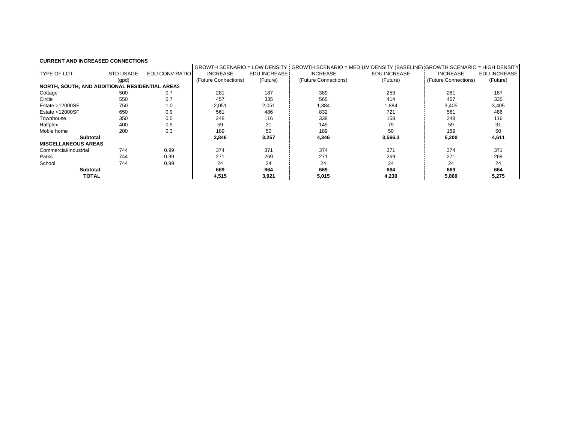#### **CURRENT AND INCREASED CONNECTIONS**

|                                                |                  |                |                      |                           | GROWTH SCENARIO = LOW DENSITY I GROWTH SCENARIO = MEDIUM DENSITY (BASELINE) IGROWTH SCENARIO = HIGH DENSITY |                     |                      |              |
|------------------------------------------------|------------------|----------------|----------------------|---------------------------|-------------------------------------------------------------------------------------------------------------|---------------------|----------------------|--------------|
| <b>TYPE OF LOT</b>                             | <b>STD USAGE</b> | EDU CONV RATIO | <b>INCREASE</b>      | EDU INCREASE <sup>1</sup> | <b>INCREASE</b>                                                                                             | <b>EDU INCREASE</b> | <b>INCREASE</b>      | EDU INCREASE |
|                                                | (gpd)            |                | (Future Connections) | (Future)                  | (Future Connections)                                                                                        | (Future)            | (Future Connections) | (Future)     |
| NORTH, SOUTH, AND ADDITIONAL RESIDENTIAL AREAS |                  |                |                      |                           |                                                                                                             |                     |                      |              |
| Cottage                                        | 500              | 0.7            | 281                  | 187                       | 389                                                                                                         | 259                 | 281                  | 187          |
| Circle                                         | 550              | 0.7            | 457                  | 335                       | 565                                                                                                         | 414                 | 457                  | 335          |
| Estate >12000SF                                | 750              | 1.0            | 2,051                | 2,051                     | 1,884                                                                                                       | 1,884               | 3,405                | 3,405        |
| Estate <12000SF                                | 650              | 0.9            | 561                  | 486                       | 832                                                                                                         | 721                 | 561                  | 486          |
| Townhouse                                      | 350              | 0.5            | 248                  | 116                       | 338                                                                                                         | 158                 | 248                  | 116          |
| Halfplex                                       | 400              | 0.5            | 59                   | 31                        | 149                                                                                                         | 79                  | 59                   | 31           |
| Moble home                                     | 200              | 0.3            | 189                  | 50                        | 189                                                                                                         | 50                  | 189                  | 50           |
| <b>Subtotal</b>                                |                  |                | 3,846                | 3,257                     | 4,346                                                                                                       | 3,566.3             | 5,200                | 4,611        |
| <b>MISCELLANEOUS AREAS</b>                     |                  |                |                      |                           |                                                                                                             |                     |                      |              |
| Commercial/Industrial                          | 744              | 0.99           | 374                  | 371                       | 374                                                                                                         | 371                 | 374                  | 371          |
| Parks                                          | 744              | 0.99           | 271                  | 269                       | 271                                                                                                         | 269                 | 271                  | 269          |
| School                                         | 744              | 0.99           | 24                   | 24                        | 24                                                                                                          | 24                  | 24                   | 24           |
| <b>Subtotal</b>                                |                  |                | 669                  | 664                       | 669                                                                                                         | 664                 | 669                  | 664          |
| <b>TOTAL</b>                                   |                  |                | 4,515                | 3,921                     | 5,015                                                                                                       | 4,230               | 5,869                | 5,275        |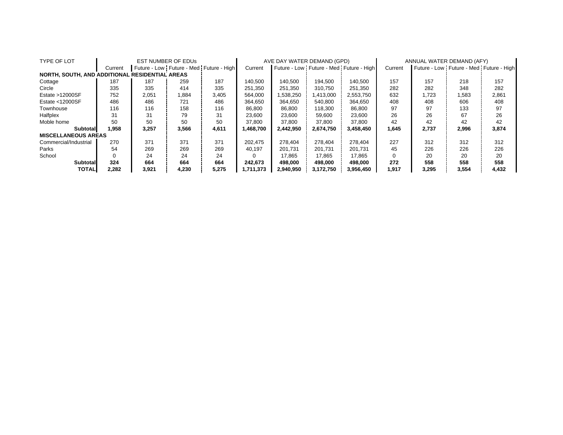| TYPE OF LOT                                    |         |       | <b>EST NUMBER OF EDUS</b>               |       | AVE DAY WATER DEMAND (GPD) |           |           | ANNUAL WATER DEMAND (AFY)               |         |       |                                         |       |
|------------------------------------------------|---------|-------|-----------------------------------------|-------|----------------------------|-----------|-----------|-----------------------------------------|---------|-------|-----------------------------------------|-------|
|                                                | Current |       | Future - Low Future - Med Future - High |       | Current                    |           |           | Future - Low Future - Med Future - High | Current |       | Future - Low Future - Med Future - High |       |
| NORTH, SOUTH, AND ADDITIONAL RESIDENTIAL AREAS |         |       |                                         |       |                            |           |           |                                         |         |       |                                         |       |
| Cottage                                        | 187     | 187   | 259                                     | 187   | 140.500                    | 140.500   | 194.500   | 140.500                                 | 157     | 157   | 218                                     | 157   |
| Circle                                         | 335     | 335   | 414                                     | 335   | 251.350                    | 251.350   | 310.750   | 251.350                                 | 282     | 282   | 348                                     | 282   |
| Estate >12000SF                                | 752     | 2,051 | 1,884                                   | 3,405 | 564,000                    | 1,538,250 | 1,413,000 | 2,553,750                               | 632     | 1,723 | 1,583                                   | 2,861 |
| Estate <12000SF                                | 486     | 486   | 721                                     | 486   | 364.650                    | 364.650   | 540,800   | 364,650                                 | 408     | 408   | 606                                     | 408   |
| Townhouse                                      | 116     | 116   | 158                                     | 116   | 86.800                     | 86,800    | 118.300   | 86,800                                  | 97      | 97    | 133                                     | 97    |
| Halfplex                                       | 31      | 31    | 79                                      | 31    | 23.600                     | 23,600    | 59,600    | 23,600                                  | 26      | 26    | 67                                      | 26    |
| Moble home                                     | 50      | 50    | 50                                      | 50    | 37.800                     | 37,800    | 37,800    | 37,800                                  | 42      | 42    | 42                                      | 42    |
| Subtotal                                       | 1.958   | 3,257 | 3,566                                   | 4,611 | 1.468.700                  | 2,442,950 | 2,674,750 | 3,458,450                               | 1,645   | 2,737 | 2,996                                   | 3,874 |
| <b>MISCELLANEOUS AREAS</b>                     |         |       |                                         |       |                            |           |           |                                         |         |       |                                         |       |
| Commercial/Industrial                          | 270     | 371   | 371                                     | 371   | 202.475                    | 278.404   | 278.404   | 278.404                                 | 227     | 312   | 312                                     | 312   |
| Parks                                          | 54      | 269   | 269                                     | 269   | 40.197                     | 201.731   | 201.731   | 201,731                                 | 45      | 226   | 226                                     | 226   |
| School                                         |         | 24    | 24                                      | 24    |                            | 17.865    | 17.865    | 17,865                                  |         | 20    | 20                                      | 20    |
| Subtotal                                       | 324     | 664   | 664                                     | 664   | 242.673                    | 498.000   | 498.000   | 498,000                                 | 272     | 558   | 558                                     | 558   |
| <b>TOTALI</b>                                  | 2.282   | 3,921 | 4,230                                   | 5,275 | 1.711.373                  | 2,940,950 | 3,172,750 | 3,956,450                               | 1,917   | 3,295 | 3,554                                   | 4,432 |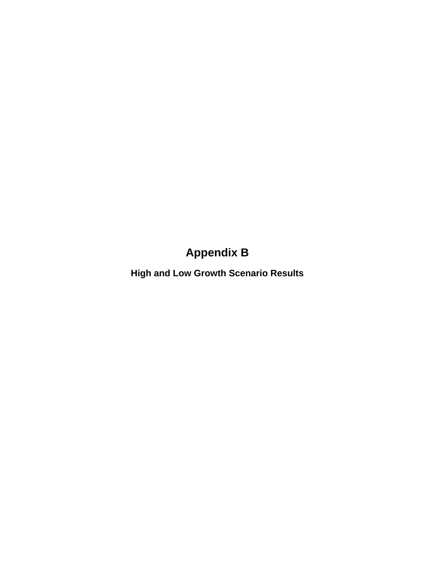## **Appendix B**

**High and Low Growth Scenario Results**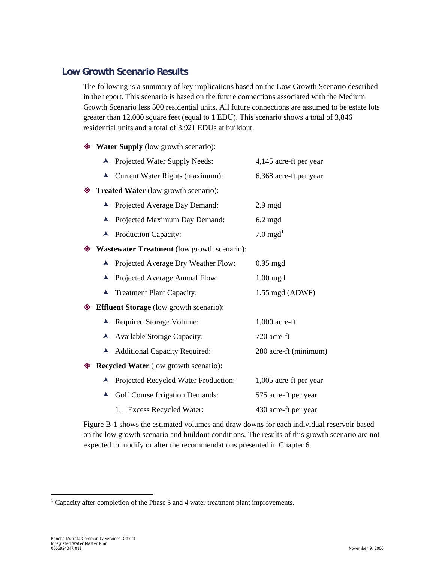## **Low Growth Scenario Results**

The following is a summary of key implications based on the Low Growth Scenario described in the report. This scenario is based on the future connections associated with the Medium Growth Scenario less 500 residential units. All future connections are assumed to be estate lots greater than 12,000 square feet (equal to 1 EDU). This scenario shows a total of 3,846 residential units and a total of 3,921 EDUs at buildout.

◆ Water Supply (low growth scenario):

|   | $\blacktriangle$ | Projected Water Supply Needs:                      | 4,145 acre-ft per year |  |  |  |
|---|------------------|----------------------------------------------------|------------------------|--|--|--|
|   |                  | ▲ Current Water Rights (maximum):                  | 6,368 acre-ft per year |  |  |  |
|   |                  | Treated Water (low growth scenario):               |                        |  |  |  |
|   |                  | Projected Average Day Demand:                      | $2.9 \text{ mgd}$      |  |  |  |
|   | ▲                | Projected Maximum Day Demand:                      | $6.2$ mgd              |  |  |  |
|   | ▲                | Production Capacity:                               | 7.0 $mgd1$             |  |  |  |
| ◈ |                  | <b>Wastewater Treatment</b> (low growth scenario): |                        |  |  |  |
|   | ▲                | Projected Average Dry Weather Flow:                | $0.95$ mgd             |  |  |  |
|   | ▲                | Projected Average Annual Flow:                     | $1.00$ mgd             |  |  |  |
|   | $\blacktriangle$ | <b>Treatment Plant Capacity:</b>                   | 1.55 mgd (ADWF)        |  |  |  |
|   |                  | <b>♦ Effluent Storage</b> (low growth scenario):   |                        |  |  |  |
|   |                  | ▲ Required Storage Volume:                         | $1,000$ acre-ft        |  |  |  |
|   |                  | A Available Storage Capacity:                      | 720 acre-ft            |  |  |  |
|   | $\blacktriangle$ | <b>Additional Capacity Required:</b>               | 280 acre-ft (minimum)  |  |  |  |
| ◈ |                  | <b>Recycled Water</b> (low growth scenario):       |                        |  |  |  |
|   | ▲                | Projected Recycled Water Production:               | 1,005 acre-ft per year |  |  |  |
|   | A                | <b>Golf Course Irrigation Demands:</b>             | 575 acre-ft per year   |  |  |  |
|   |                  | Excess Recycled Water:<br>1.                       | 430 acre-ft per year   |  |  |  |

Figure B-1 shows the estimated volumes and draw downs for each individual reservoir based on the low growth scenario and buildout conditions. The results of this growth scenario are not expected to modify or alter the recommendations presented in Chapter 6.

 $\overline{a}$ 

<sup>&</sup>lt;sup>1</sup> Capacity after completion of the Phase 3 and 4 water treatment plant improvements.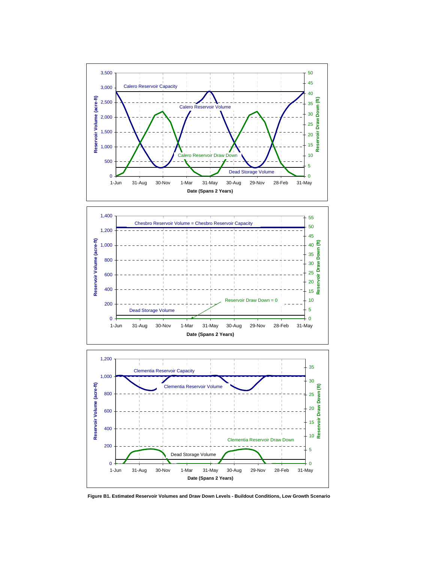





**Figure B1. Estimated Reservoir Volumes and Draw Down Levels - Buildout Conditions, Low Growth Scenario**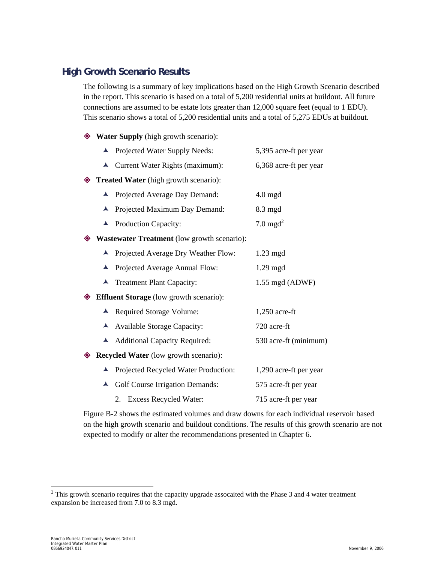## **High Growth Scenario Results**

The following is a summary of key implications based on the High Growth Scenario described in the report. This scenario is based on a total of 5,200 residential units at buildout. All future connections are assumed to be estate lots greater than 12,000 square feet (equal to 1 EDU). This scenario shows a total of 5,200 residential units and a total of 5,275 EDUs at buildout.

- **Water Supply** (high growth scenario):
	- ▲ Projected Water Supply Needs: 5,395 acre-ft per year  $\triangle$  Current Water Rights (maximum): 6,368 acre-ft per year
- **Treated Water** (high growth scenario):
	- ▲ Projected Average Day Demand: 4.0 mgd
	- È Projected Maximum Day Demand: 8.3 mgd
	- $\blacktriangle$  Production Capacity:  $7.0 \text{ mgd}^2$
- **Wastewater Treatment** (low growth scenario):
	- ▲ Projected Average Dry Weather Flow: 1.23 mgd
	- ▲ Projected Average Annual Flow: 1.29 mgd
	- È Treatment Plant Capacity: 1.55 mgd (ADWF)
- **Effluent Storage** (low growth scenario):
	- ▲ Required Storage Volume: 1,250 acre-ft
	- È Available Storage Capacity: 720 acre-ft
	- ▲ Additional Capacity Required: 530 acre-ft (minimum)
- **Recycled Water** (low growth scenario):
	- ▲ Projected Recycled Water Production: 1,290 acre-ft per year ▲ Golf Course Irrigation Demands: 575 acre-ft per year 2. Excess Recycled Water: 715 acre-ft per year

Figure B-2 shows the estimated volumes and draw downs for each individual reservoir based on the high growth scenario and buildout conditions. The results of this growth scenario are not expected to modify or alter the recommendations presented in Chapter 6.

 $\overline{a}$ 

 $2$  This growth scenario requires that the capacity upgrade assocaited with the Phase 3 and 4 water treatment expansion be increased from 7.0 to 8.3 mgd.